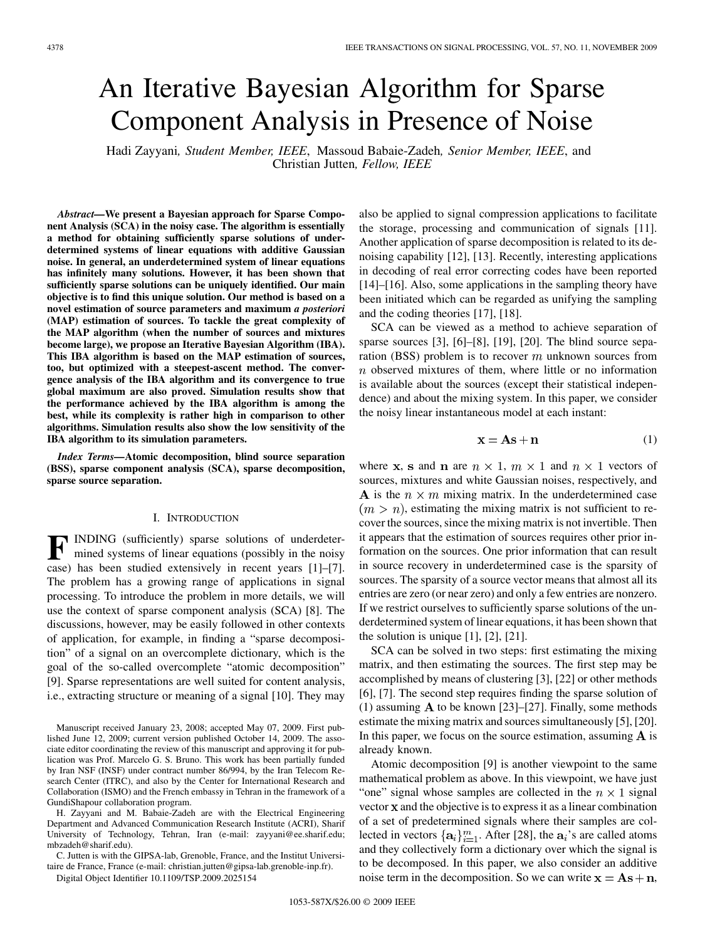# An Iterative Bayesian Algorithm for Sparse Component Analysis in Presence of Noise

Hadi Zayyani*, Student Member, IEEE*, Massoud Babaie-Zadeh*, Senior Member, IEEE*, and Christian Jutten*, Fellow, IEEE*

*Abstract—***We present a Bayesian approach for Sparse Component Analysis (SCA) in the noisy case. The algorithm is essentially a method for obtaining sufficiently sparse solutions of underdetermined systems of linear equations with additive Gaussian noise. In general, an underdetermined system of linear equations has infinitely many solutions. However, it has been shown that sufficiently sparse solutions can be uniquely identified. Our main objective is to find this unique solution. Our method is based on a novel estimation of source parameters and maximum** *a posteriori* **(MAP) estimation of sources. To tackle the great complexity of the MAP algorithm (when the number of sources and mixtures become large), we propose an Iterative Bayesian Algorithm (IBA). This IBA algorithm is based on the MAP estimation of sources, too, but optimized with a steepest-ascent method. The convergence analysis of the IBA algorithm and its convergence to true global maximum are also proved. Simulation results show that the performance achieved by the IBA algorithm is among the best, while its complexity is rather high in comparison to other algorithms. Simulation results also show the low sensitivity of the IBA algorithm to its simulation parameters.**

*Index Terms—***Atomic decomposition, blind source separation (BSS), sparse component analysis (SCA), sparse decomposition, sparse source separation.**

## I. INTRODUCTION

**F** INDING (sufficiently) sparse solutions of underdeter-<br>mined systems of linear equations (possibly in the noisy mined systems of linear equations (possibly in the noisy case) has been studied extensively in recent years [1]–[7]. The problem has a growing range of applications in signal processing. To introduce the problem in more details, we will use the context of sparse component analysis (SCA) [8]. The discussions, however, may be easily followed in other contexts of application, for example, in finding a "sparse decomposition" of a signal on an overcomplete dictionary, which is the goal of the so-called overcomplete "atomic decomposition" [9]. Sparse representations are well suited for content analysis, i.e., extracting structure or meaning of a signal [10]. They may

H. Zayyani and M. Babaie-Zadeh are with the Electrical Engineering Department and Advanced Communication Research Institute (ACRI), Sharif University of Technology, Tehran, Iran (e-mail: zayyani@ee.sharif.edu; mbzadeh@sharif.edu).

C. Jutten is with the GIPSA-lab, Grenoble, France, and the Institut Universitaire de France, France (e-mail: christian.jutten@gipsa-lab.grenoble-inp.fr).

Digital Object Identifier 10.1109/TSP.2009.2025154

also be applied to signal compression applications to facilitate the storage, processing and communication of signals [11]. Another application of sparse decomposition is related to its denoising capability [12], [13]. Recently, interesting applications in decoding of real error correcting codes have been reported [14]–[16]. Also, some applications in the sampling theory have been initiated which can be regarded as unifying the sampling and the coding theories [17], [18].

SCA can be viewed as a method to achieve separation of sparse sources [3], [6]–[8], [19], [20]. The blind source separation (BSS) problem is to recover  $m$  unknown sources from  $n$  observed mixtures of them, where little or no information is available about the sources (except their statistical independence) and about the mixing system. In this paper, we consider the noisy linear instantaneous model at each instant:

$$
\mathbf{x} = \mathbf{A}\mathbf{s} + \mathbf{n} \tag{1}
$$

where **x**, **s** and **n** are  $n \times 1$ ,  $m \times 1$  and  $n \times 1$  vectors of sources, mixtures and white Gaussian noises, respectively, and A is the  $n \times m$  mixing matrix. In the underdetermined case  $(m > n)$ , estimating the mixing matrix is not sufficient to recover the sources, since the mixing matrix is not invertible. Then it appears that the estimation of sources requires other prior information on the sources. One prior information that can result in source recovery in underdetermined case is the sparsity of sources. The sparsity of a source vector means that almost all its entries are zero (or near zero) and only a few entries are nonzero. If we restrict ourselves to sufficiently sparse solutions of the underdetermined system of linear equations, it has been shown that the solution is unique  $[1]$ ,  $[2]$ ,  $[21]$ .

SCA can be solved in two steps: first estimating the mixing matrix, and then estimating the sources. The first step may be accomplished by means of clustering [3], [22] or other methods [6], [7]. The second step requires finding the sparse solution of (1) assuming  $\bf{A}$  to be known [23]–[27]. Finally, some methods estimate the mixing matrix and sources simultaneously [5], [20]. In this paper, we focus on the source estimation, assuming  $A$  is already known.

Atomic decomposition [9] is another viewpoint to the same mathematical problem as above. In this viewpoint, we have just "one" signal whose samples are collected in the  $n \times 1$  signal vector  $x$  and the objective is to express it as a linear combination of a set of predetermined signals where their samples are collected in vectors  $\{a_i\}_{i=1}^m$ . After [28], the  $a_i$ 's are called atoms and they collectively form a dictionary over which the signal is to be decomposed. In this paper, we also consider an additive noise term in the decomposition. So we can write  $x = As + n$ ,

Manuscript received January 23, 2008; accepted May 07, 2009. First published June 12, 2009; current version published October 14, 2009. The associate editor coordinating the review of this manuscript and approving it for publication was Prof. Marcelo G. S. Bruno. This work has been partially funded by Iran NSF (INSF) under contract number 86/994, by the Iran Telecom Research Center (ITRC), and also by the Center for International Research and Collaboration (ISMO) and the French embassy in Tehran in the framework of a GundiShapour collaboration program.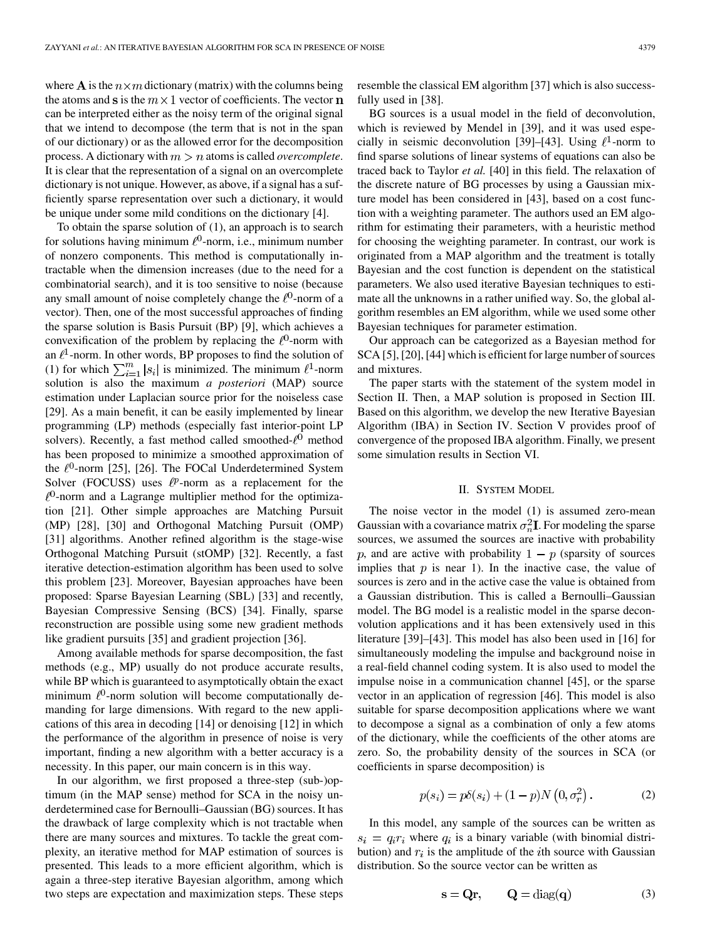where **A** is the  $n \times m$  dictionary (matrix) with the columns being the atoms and s is the  $m \times 1$  vector of coefficients. The vector **n** can be interpreted either as the noisy term of the original signal that we intend to decompose (the term that is not in the span of our dictionary) or as the allowed error for the decomposition process. A dictionary with  $m > n$  atoms is called *overcomplete*. It is clear that the representation of a signal on an overcomplete dictionary is not unique. However, as above, if a signal has a sufficiently sparse representation over such a dictionary, it would be unique under some mild conditions on the dictionary [4].

To obtain the sparse solution of (1), an approach is to search for solutions having minimum  $\ell^0$ -norm, i.e., minimum number of nonzero components. This method is computationally intractable when the dimension increases (due to the need for a combinatorial search), and it is too sensitive to noise (because any small amount of noise completely change the  $\ell^0$ -norm of a vector). Then, one of the most successful approaches of finding the sparse solution is Basis Pursuit (BP) [9], which achieves a convexification of the problem by replacing the  $\ell^0$ -norm with an  $\ell^1$ -norm. In other words, BP proposes to find the solution of (1) for which  $\sum_{i=1}^{m} |s_i|$  is minimized. The minimum  $\ell^1$ -norm solution is also the maximum *a posteriori* (MAP) source estimation under Laplacian source prior for the noiseless case [29]. As a main benefit, it can be easily implemented by linear programming (LP) methods (especially fast interior-point LP solvers). Recently, a fast method called smoothed- $\ell^0$  method has been proposed to minimize a smoothed approximation of the  $\ell^0$ -norm [25], [26]. The FOCal Underdetermined System Solver (FOCUSS) uses  $\ell^p$ -norm as a replacement for the  $\ell$ <sup>0</sup>-norm and a Lagrange multiplier method for the optimization [21]. Other simple approaches are Matching Pursuit (MP) [28], [30] and Orthogonal Matching Pursuit (OMP) [31] algorithms. Another refined algorithm is the stage-wise Orthogonal Matching Pursuit (stOMP) [32]. Recently, a fast iterative detection-estimation algorithm has been used to solve this problem [23]. Moreover, Bayesian approaches have been proposed: Sparse Bayesian Learning (SBL) [33] and recently, Bayesian Compressive Sensing (BCS) [34]. Finally, sparse reconstruction are possible using some new gradient methods like gradient pursuits [35] and gradient projection [36].

Among available methods for sparse decomposition, the fast methods (e.g., MP) usually do not produce accurate results, while BP which is guaranteed to asymptotically obtain the exact minimum  $\ell^0$ -norm solution will become computationally demanding for large dimensions. With regard to the new applications of this area in decoding [14] or denoising [12] in which the performance of the algorithm in presence of noise is very important, finding a new algorithm with a better accuracy is a necessity. In this paper, our main concern is in this way.

In our algorithm, we first proposed a three-step (sub-)optimum (in the MAP sense) method for SCA in the noisy underdetermined case for Bernoulli–Gaussian (BG) sources. It has the drawback of large complexity which is not tractable when there are many sources and mixtures. To tackle the great complexity, an iterative method for MAP estimation of sources is presented. This leads to a more efficient algorithm, which is again a three-step iterative Bayesian algorithm, among which two steps are expectation and maximization steps. These steps resemble the classical EM algorithm [37] which is also successfully used in [38].

BG sources is a usual model in the field of deconvolution, which is reviewed by Mendel in [39], and it was used especially in seismic deconvolution [39]–[43]. Using  $\ell^1$ -norm to find sparse solutions of linear systems of equations can also be traced back to Taylor *et al.* [40] in this field. The relaxation of the discrete nature of BG processes by using a Gaussian mixture model has been considered in [43], based on a cost function with a weighting parameter. The authors used an EM algorithm for estimating their parameters, with a heuristic method for choosing the weighting parameter. In contrast, our work is originated from a MAP algorithm and the treatment is totally Bayesian and the cost function is dependent on the statistical parameters. We also used iterative Bayesian techniques to estimate all the unknowns in a rather unified way. So, the global algorithm resembles an EM algorithm, while we used some other Bayesian techniques for parameter estimation.

Our approach can be categorized as a Bayesian method for SCA [5], [20], [44] which is efficient for large number of sources and mixtures.

The paper starts with the statement of the system model in Section II. Then, a MAP solution is proposed in Section III. Based on this algorithm, we develop the new Iterative Bayesian Algorithm (IBA) in Section IV. Section V provides proof of convergence of the proposed IBA algorithm. Finally, we present some simulation results in Section VI.

#### II. SYSTEM MODEL

The noise vector in the model (1) is assumed zero-mean Gaussian with a covariance matrix  $\sigma_n^2 \mathbf{I}$ . For modeling the sparse sources, we assumed the sources are inactive with probability p, and are active with probability  $1 - p$  (sparsity of sources implies that  $p$  is near 1). In the inactive case, the value of sources is zero and in the active case the value is obtained from a Gaussian distribution. This is called a Bernoulli–Gaussian model. The BG model is a realistic model in the sparse deconvolution applications and it has been extensively used in this literature [39]–[43]. This model has also been used in [16] for simultaneously modeling the impulse and background noise in a real-field channel coding system. It is also used to model the impulse noise in a communication channel [45], or the sparse vector in an application of regression [46]. This model is also suitable for sparse decomposition applications where we want to decompose a signal as a combination of only a few atoms of the dictionary, while the coefficients of the other atoms are zero. So, the probability density of the sources in SCA (or coefficients in sparse decomposition) is

$$
p(s_i) = p\delta(s_i) + (1 - p)N(0, \sigma_r^2).
$$
 (2)

In this model, any sample of the sources can be written as  $s_i = q_i r_i$  where  $q_i$  is a binary variable (with binomial distribution) and  $r_i$  is the amplitude of the *i*th source with Gaussian distribution. So the source vector can be written as

$$
\mathbf{s} = \mathbf{Q}\mathbf{r}, \qquad \mathbf{Q} = \text{diag}(\mathbf{q}) \tag{3}
$$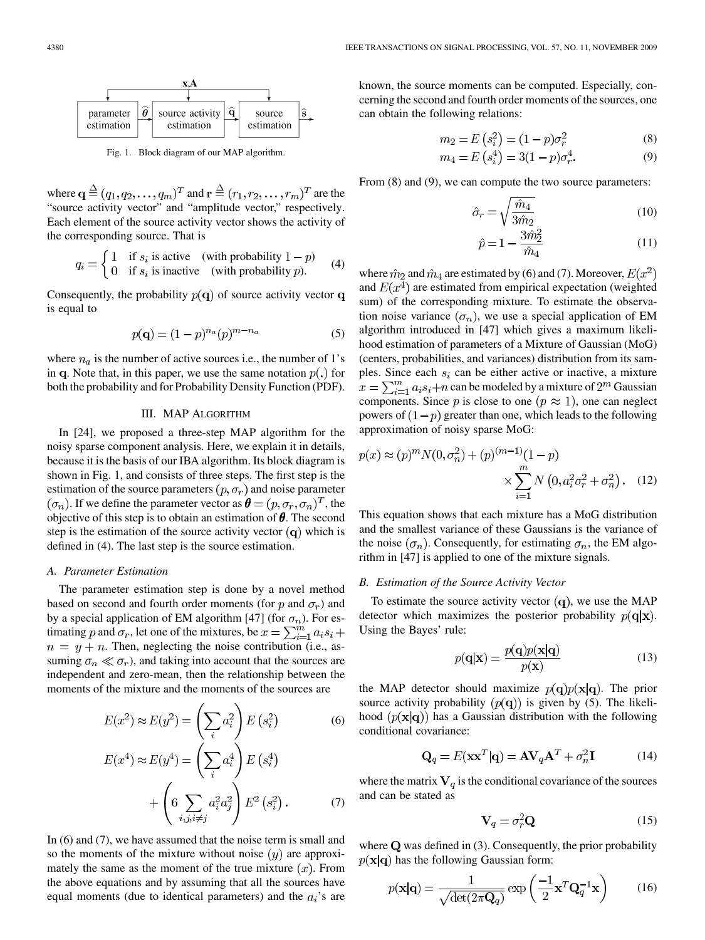

Fig. 1. Block diagram of our MAP algorithm.

where  $\mathbf{q} \stackrel{\Delta}{=} (q_1, q_2, \dots, q_m)^T$  and  $\mathbf{r} \stackrel{\Delta}{=} (r_1, r_2, \dots, r_m)^T$  are the "source activity vector" and "amplitude vector," respectively. Each element of the source activity vector shows the activity of the corresponding source. That is

$$
q_i = \begin{cases} 1 & \text{if } s_i \text{ is active} \\ 0 & \text{if } s_i \text{ is inactive} \end{cases} \text{ (with probability } 1 - p) \tag{4}
$$

Consequently, the probability  $p(\mathbf{q})$  of source activity vector q is equal to

$$
p(\mathbf{q}) = (1-p)^{n_a}(p)^{m-n_a} \tag{5}
$$

where  $n_a$  is the number of active sources i.e., the number of 1's in q. Note that, in this paper, we use the same notation  $p(.)$  for both the probability and for Probability Density Function (PDF).

## III. MAP ALGORITHM

In [24], we proposed a three-step MAP algorithm for the noisy sparse component analysis. Here, we explain it in details, because it is the basis of our IBA algorithm. Its block diagram is shown in Fig. 1, and consists of three steps. The first step is the estimation of the source parameters  $(p, \sigma_r)$  and noise parameter  $(\sigma_n)$ . If we define the parameter vector as  $\boldsymbol{\theta} = (p, \sigma_r, \sigma_n)^T$ , the objective of this step is to obtain an estimation of  $\theta$ . The second step is the estimation of the source activity vector  $(q)$  which is defined in (4). The last step is the source estimation.

#### *A. Parameter Estimation*

The parameter estimation step is done by a novel method based on second and fourth order moments (for p and  $\sigma_r$ ) and by a special application of EM algorithm [47] (for  $\sigma_n$ ). For estimating p and  $\sigma_r$ , let one of the mixtures, be  $x = \sum_{i=1}^m a_i s_i +$  $n = y + n$ . Then, neglecting the noise contribution (i.e., assuming  $\sigma_n \ll \sigma_r$ ), and taking into account that the sources are independent and zero-mean, then the relationship between the moments of the mixture and the moments of the sources are

$$
E(x^2) \approx E(y^2) = \left(\sum_i a_i^2\right) E\left(s_i^2\right) \tag{6}
$$

$$
E(x4) \approx E(y4) = \left(\sum_{i} a_i4\right) E(s_i4)
$$
  
+ 
$$
\left(6 \sum_{i,j,i \neq j} a_i2 a_j2\right) E2(s_i2) . \tag{7}
$$

In (6) and (7), we have assumed that the noise term is small and so the moments of the mixture without noise  $(y)$  are approximately the same as the moment of the true mixture  $(x)$ . From the above equations and by assuming that all the sources have equal moments (due to identical parameters) and the  $a_i$ 's are

known, the source moments can be computed. Especially, concerning the second and fourth order moments of the sources, one can obtain the following relations:

$$
m_2 = E\left(s_i^2\right) = (1 - p)\sigma_r^2\tag{8}
$$

$$
m_4 = E\left(s_i^4\right) = 3(1-p)\sigma_r^4.
$$
 (9)

From  $(8)$  and  $(9)$ , we can compute the two source parameters:

$$
\hat{\sigma}_r = \sqrt{\frac{\hat{m}_4}{3\hat{m}_2}}\tag{10}
$$

$$
\hat{p} = 1 - \frac{3\hat{m}_2^2}{\hat{m}_4} \tag{11}
$$

where  $\hat{m}_2$  and  $\hat{m}_4$  are estimated by (6) and (7). Moreover,  $E(x^2)$ and  $E(x^4)$  are estimated from empirical expectation (weighted sum) of the corresponding mixture. To estimate the observation noise variance  $(\sigma_n)$ , we use a special application of EM algorithm introduced in [47] which gives a maximum likelihood estimation of parameters of a Mixture of Gaussian (MoG) (centers, probabilities, and variances) distribution from its samples. Since each  $s_i$  can be either active or inactive, a mixture  $c_n = \sum_{i=1}^m a_i s_i + n$  can be modeled by a mixture of  $2^m$  Gaussian components. Since p is close to one  $(p \approx 1)$ , one can neglect powers of  $(1-p)$  greater than one, which leads to the following approximation of noisy sparse MoG:

$$
p(x) \approx (p)^m N(0, \sigma_n^2) + (p)^{(m-1)} (1-p) \times \sum_{i=1}^m N(0, a_i^2 \sigma_r^2 + \sigma_n^2).
$$
 (12)

This equation shows that each mixture has a MoG distribution and the smallest variance of these Gaussians is the variance of the noise  $(\sigma_n)$ . Consequently, for estimating  $\sigma_n$ , the EM algorithm in [47] is applied to one of the mixture signals.

#### *B. Estimation of the Source Activity Vector*

To estimate the source activity vector  $(q)$ , we use the MAP detector which maximizes the posterior probability  $p(\mathbf{q}|\mathbf{x})$ . Using the Bayes' rule:

$$
p(\mathbf{q}|\mathbf{x}) = \frac{p(\mathbf{q})p(\mathbf{x}|\mathbf{q})}{p(\mathbf{x})}
$$
(13)

the MAP detector should maximize  $p(\mathbf{q})p(\mathbf{x}|\mathbf{q})$ . The prior source activity probability  $(p(q))$  is given by (5). The likelihood  $(p(\mathbf{x}|\mathbf{q}))$  has a Gaussian distribution with the following conditional covariance:

$$
\mathbf{Q}_q = E(\mathbf{x}\mathbf{x}^T | \mathbf{q}) = \mathbf{A}\mathbf{V}_q \mathbf{A}^T + \sigma_n^2 \mathbf{I}
$$
 (14)

where the matrix  $V_q$  is the conditional covariance of the sources and can be stated as

$$
\mathbf{V}_q = \sigma_r^2 \mathbf{Q} \tag{15}
$$

where  $Q$  was defined in (3). Consequently, the prior probability  $p(\mathbf{x}|\mathbf{q})$  has the following Gaussian form:

$$
p(\mathbf{x}|\mathbf{q}) = \frac{1}{\sqrt{\det(2\pi \mathbf{Q}_q)}} \exp\left(\frac{-1}{2}\mathbf{x}^T \mathbf{Q}_q^{-1} \mathbf{x}\right) \tag{16}
$$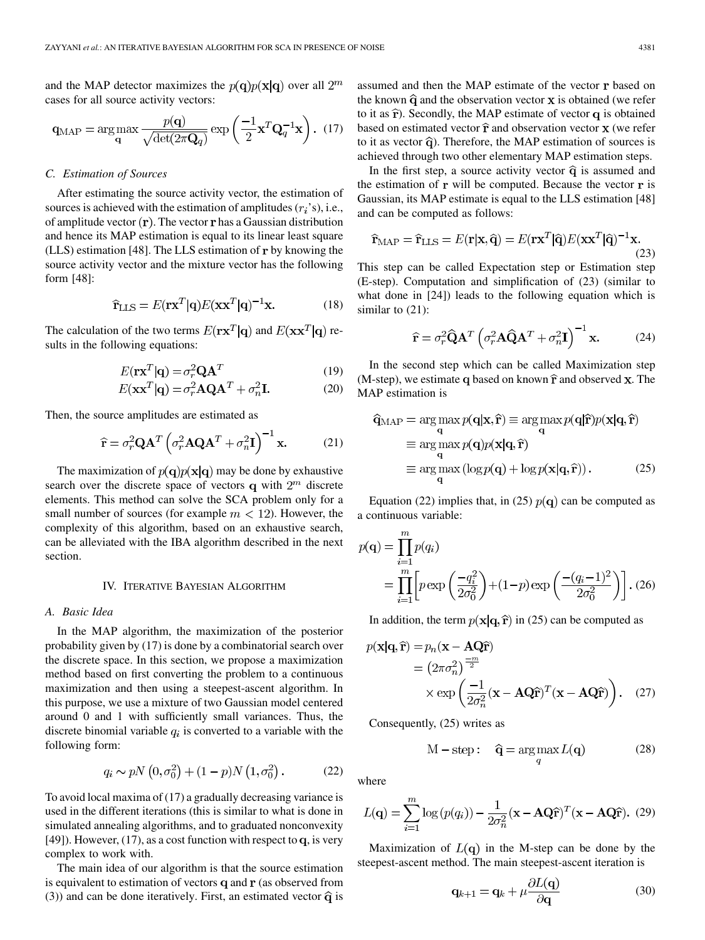and the MAP detector maximizes the  $p(\mathbf{q})p(\mathbf{x}|\mathbf{q})$  over all  $2^m$ cases for all source activity vectors:

$$
\mathbf{q}_{\text{MAP}} = \underset{\mathbf{q}}{\text{arg}\max} \frac{p(\mathbf{q})}{\sqrt{\det(2\pi \mathbf{Q}_q)}} \exp\left(\frac{-1}{2} \mathbf{x}^T \mathbf{Q}_q^{-1} \mathbf{x}\right). (17)
$$

#### *C. Estimation of Sources*

After estimating the source activity vector, the estimation of sources is achieved with the estimation of amplitudes  $(r_i$ 's), i.e., of amplitude vector  $(r)$ . The vector r has a Gaussian distribution and hence its MAP estimation is equal to its linear least square  $(LLS)$  estimation [48]. The LLS estimation of  $\bf{r}$  by knowing the source activity vector and the mixture vector has the following form [48]:

$$
\hat{\mathbf{r}}_{\text{LLS}} = E(\mathbf{r}\mathbf{x}^T | \mathbf{q}) E(\mathbf{x}\mathbf{x}^T | \mathbf{q})^{-1} \mathbf{x}.
$$
 (18)

The calculation of the two terms  $E(\mathbf{r}\mathbf{x}^T|\mathbf{q})$  and  $E(\mathbf{x}\mathbf{x}^T|\mathbf{q})$  results in the following equations:

$$
E(\mathbf{r}\mathbf{x}^T|\mathbf{q}) = \sigma_r^2 \mathbf{Q}\mathbf{A}^T
$$
 (19)

$$
E(\mathbf{x}\mathbf{x}^T|\mathbf{q}) = \sigma_r^2 \mathbf{A} \mathbf{Q} \mathbf{A}^T + \sigma_n^2 \mathbf{I}.
$$
 (20)

Then, the source amplitudes are estimated as

$$
\hat{\mathbf{r}} = \sigma_r^2 \mathbf{Q} \mathbf{A}^T \left( \sigma_r^2 \mathbf{A} \mathbf{Q} \mathbf{A}^T + \sigma_n^2 \mathbf{I} \right)^{-1} \mathbf{x}.
$$
 (21)

The maximization of  $p(\mathbf{q})p(\mathbf{x}|\mathbf{q})$  may be done by exhaustive search over the discrete space of vectors q with  $2<sup>m</sup>$  discrete elements. This method can solve the SCA problem only for a small number of sources (for example  $m < 12$ ). However, the complexity of this algorithm, based on an exhaustive search, can be alleviated with the IBA algorithm described in the next section.

#### IV. ITERATIVE BAYESIAN ALGORITHM

#### *A. Basic Idea*

In the MAP algorithm, the maximization of the posterior probability given by (17) is done by a combinatorial search over the discrete space. In this section, we propose a maximization method based on first converting the problem to a continuous maximization and then using a steepest-ascent algorithm. In this purpose, we use a mixture of two Gaussian model centered around 0 and 1 with sufficiently small variances. Thus, the discrete binomial variable  $q_i$  is converted to a variable with the following form:

$$
q_i \sim pN\left(0, \sigma_0^2\right) + (1 - p)N\left(1, \sigma_0^2\right). \tag{22}
$$

To avoid local maxima of (17) a gradually decreasing variance is used in the different iterations (this is similar to what is done in simulated annealing algorithms, and to graduated nonconvexity [49]). However,  $(17)$ , as a cost function with respect to q, is very complex to work with.

The main idea of our algorithm is that the source estimation is equivalent to estimation of vectors  $q$  and  $r$  (as observed from (3)) and can be done iteratively. First, an estimated vector  $\hat{q}$  is assumed and then the MAP estimate of the vector  $\mathbf r$  based on the known  $\hat{q}$  and the observation vector **x** is obtained (we refer to it as  $\hat{\mathbf{r}}$ ). Secondly, the MAP estimate of vector q is obtained based on estimated vector  $\hat{\mathbf{r}}$  and observation vector **x** (we refer to it as vector  $\hat{q}$ ). Therefore, the MAP estimation of sources is achieved through two other elementary MAP estimation steps.

In the first step, a source activity vector  $\hat{q}$  is assumed and the estimation of  $\bf{r}$  will be computed. Because the vector  $\bf{r}$  is Gaussian, its MAP estimate is equal to the LLS estimation [48] and can be computed as follows:

$$
\hat{\mathbf{r}}_{\text{MAP}} = \hat{\mathbf{r}}_{\text{LLS}} = E(\mathbf{r}|\mathbf{x}, \hat{\mathbf{q}}) = E(\mathbf{r}\mathbf{x}^T|\hat{\mathbf{q}})E(\mathbf{x}\mathbf{x}^T|\hat{\mathbf{q}})^{-1}\mathbf{x}.
$$
\n(23)

This step can be called Expectation step or Estimation step (E-step). Computation and simplification of (23) (similar to what done in [24]) leads to the following equation which is similar to  $(21)$ :

$$
\hat{\mathbf{r}} = \sigma_r^2 \hat{\mathbf{Q}} \mathbf{A}^T \left( \sigma_r^2 \mathbf{A} \hat{\mathbf{Q}} \mathbf{A}^T + \sigma_n^2 \mathbf{I} \right)^{-1} \mathbf{x}.
$$
 (24)

In the second step which can be called Maximization step (M-step), we estimate q based on known  $\hat{\mathbf{r}}$  and observed x. The MAP estimation is

$$
\hat{\mathbf{q}}_{\text{MAP}} = \underset{\mathbf{q}}{\arg\max} p(\mathbf{q}|\mathbf{x}, \hat{\mathbf{r}}) \equiv \underset{\mathbf{q}}{\arg\max} p(\mathbf{q}|\hat{\mathbf{r}}) p(\mathbf{x}|\mathbf{q}, \hat{\mathbf{r}})
$$
\n
$$
\equiv \underset{\mathbf{q}}{\arg\max} p(\mathbf{q}) p(\mathbf{x}|\mathbf{q}, \hat{\mathbf{r}})
$$
\n
$$
\equiv \underset{\mathbf{q}}{\arg\max} (\log p(\mathbf{q}) + \log p(\mathbf{x}|\mathbf{q}, \hat{\mathbf{r}})). \tag{25}
$$

Equation (22) implies that, in (25)  $p(\mathbf{q})$  can be computed as a continuous variable:

$$
p(\mathbf{q}) = \prod_{i=1}^{m} p(q_i)
$$
  
= 
$$
\prod_{i=1}^{m} \left[ p \exp\left(\frac{-q_i^2}{2\sigma_0^2}\right) + (1-p) \exp\left(\frac{-(q_i-1)^2}{2\sigma_0^2}\right) \right]. (26)
$$

In addition, the term  $p(\mathbf{x}|\mathbf{q}, \hat{\mathbf{r}})$  in (25) can be computed as

$$
p(\mathbf{x}|\mathbf{q}, \hat{\mathbf{r}}) = p_n(\mathbf{x} - \mathbf{A}\mathbf{Q}\hat{\mathbf{r}})
$$
  
=  $(2\pi\sigma_n^2)^{\frac{-m}{2}}$   
 $\times \exp\left(\frac{-1}{2\sigma_n^2}(\mathbf{x} - \mathbf{A}\mathbf{Q}\hat{\mathbf{r}})^T(\mathbf{x} - \mathbf{A}\mathbf{Q}\hat{\mathbf{r}})\right).$  (27)

Consequently, (25) writes as

$$
M - step: \quad \hat{\mathbf{q}} = \underset{q}{\arg\max} L(\mathbf{q}) \tag{28}
$$

where

$$
L(\mathbf{q}) = \sum_{i=1}^{m} \log (p(q_i)) - \frac{1}{2\sigma_n^2} (\mathbf{x} - \mathbf{A}\mathbf{Q}\hat{\mathbf{r}})^T (\mathbf{x} - \mathbf{A}\mathbf{Q}\hat{\mathbf{r}}).
$$
 (29)

Maximization of  $L(\mathbf{q})$  in the M-step can be done by the steepest-ascent method. The main steepest-ascent iteration is

$$
\mathbf{q}_{k+1} = \mathbf{q}_k + \mu \frac{\partial L(\mathbf{q})}{\partial \mathbf{q}} \tag{30}
$$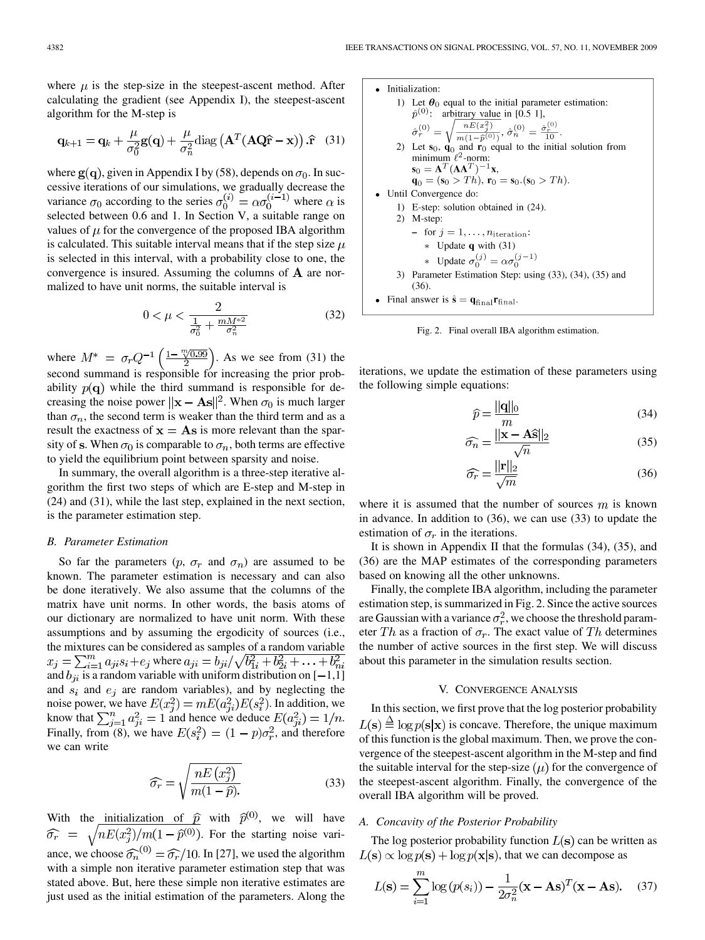where  $\mu$  is the step-size in the steepest-ascent method. After calculating the gradient (see Appendix I), the steepest-ascent algorithm for the M-step is

$$
\mathbf{q}_{k+1} = \mathbf{q}_k + \frac{\mu}{\sigma_0^2} \mathbf{g}(\mathbf{q}) + \frac{\mu}{\sigma_n^2} \text{diag}\left(\mathbf{A}^T (\mathbf{A} \mathbf{Q} \hat{\mathbf{r}} - \mathbf{x})\right). \hat{\mathbf{r}} \quad (31)
$$

where  $g(q)$ , given in Appendix I by (58), depends on  $\sigma_0$ . In successive iterations of our simulations, we gradually decrease the variance  $\sigma_0$  according to the series  $\sigma_0^{(i)} = \alpha \sigma_0^{(i-1)}$  where  $\alpha$  is selected between 0.6 and 1. In Section V, a suitable range on values of  $\mu$  for the convergence of the proposed IBA algorithm is calculated. This suitable interval means that if the step size  $\mu$ is selected in this interval, with a probability close to one, the convergence is insured. Assuming the columns of  $A$  are normalized to have unit norms, the suitable interval is

$$
0 < \mu < \frac{2}{\frac{1}{\sigma_0^2} + \frac{mM^*^2}{\sigma_n^2}} \tag{32}
$$

where  $M^* = \sigma_r Q^{-1} \left( \frac{1 - \sqrt[3]{0.99}}{2} \right)$ . As we see from (31) the second summand is responsible for increasing the prior probability  $p(\mathbf{q})$  while the third summand is responsible for decreasing the noise power  $||\mathbf{x} - \mathbf{As}||^2$ . When  $\sigma_0$  is much larger than  $\sigma_n$ , the second term is weaker than the third term and as a result the exactness of  $x = As$  is more relevant than the sparsity of s. When  $\sigma_0$  is comparable to  $\sigma_n$ , both terms are effective to yield the equilibrium point between sparsity and noise.

In summary, the overall algorithm is a three-step iterative algorithm the first two steps of which are E-step and M-step in (24) and (31), while the last step, explained in the next section, is the parameter estimation step.

#### *B. Parameter Estimation*

So far the parameters  $(p, \sigma_r$  and  $\sigma_n)$  are assumed to be known. The parameter estimation is necessary and can also be done iteratively. We also assume that the columns of the matrix have unit norms. In other words, the basis atoms of our dictionary are normalized to have unit norm. With these assumptions and by assuming the ergodicity of sources (i.e., the mixtures can be considered as samples of a random variable  $x_j = \sum_{i=1}^m a_{ji} s_i + e_j$  where  $a_{ji} = b_{ji}/\sqrt{b_{1i}^2 + b_{2i}^2 + \ldots + b_{ni}^2}$ and  $b_{ii}$  is a random variable with uniform distribution on  $[-1,1]$ and  $s_i$  and  $e_j$  are random variables), and by neglecting the noise power, we have  $E(x_i^2) = mE(a_{ii}^2)E(s_i^2)$ . In addition, we know that  $\sum_{i=1}^{n} a_{ii}^2 = 1$  and hence we deduce  $E(a_{ii}^2) = 1/n$ . Finally, from (8), we have  $E(s_i^2) = (1-p)\sigma_r^2$ , and therefore we can write

$$
\widehat{\sigma_r} = \sqrt{\frac{nE\left(x_j^2\right)}{m(1-\widehat{p})}}\tag{33}
$$

With the initialization of  $\hat{p}$  with  $\hat{p}^{(0)}$ , we will have . For the starting noise variance, we choose  $\widehat{\sigma}_n^{(0)} = \widehat{\sigma}_r/10$ . In [27], we used the algorithm with a simple non iterative parameter estimation step that was stated above. But, here these simple non iterative estimates are just used as the initial estimation of the parameters. Along the

\n- Initialization:
\n- 1) Let 
$$
\theta_0
$$
 equal to the initial parameter estimation:
\n- $\hat{p}^{(0)}$ : arbitrary value in [0.5 1],
\n- $\hat{\sigma}_r^{(0)} = \sqrt{\frac{nE(x_j^2)}{m(1-\hat{p}^{(0)})}}, \hat{\sigma}_n^{(0)} = \frac{\hat{\sigma}_r^{(0)}}{10}.$
\n- 2) Let  $s_0$ ,  $q_0$  and  $r_0$  equal to the initial solution from minimum  $\ell^2$ -norm:
\n- $s_0 = A^T (AA^T)^{-1} x$ ,  $q_0 = (s_0 > Th)$ ,  $r_0 = s_0.(s_0 > Th)$ .
\n- Until Convergence do:
\n- 1) E-step: solution obtained in (24).
\n- 2) M-step:
\n\n- for  $j = 1, \ldots, n_{\text{iteration}}$ :
\n\n- Update  $q$  with (31)
\n- Update  $q$  with (31)
\n- Update  $\sigma_0^{(j)} = \alpha \sigma_0^{(j-1)}$
\n- 3) Parameter Estimation Step: using (33), (34), (35) and (36).
\n- Final answer is  $\hat{s} = q_{\text{final}} r_{\text{final}}$ .
\n
\n

Fig. 2. Final overall IBA algorithm estimation.

iterations, we update the estimation of these parameters using the following simple equations:

$$
\widehat{p} = \frac{||\mathbf{q}||_0}{m} \tag{34}
$$

$$
\widehat{\sigma_n} = \frac{||\mathbf{x} - \mathbf{A}\mathbf{\widehat{s}}||_2}{\sqrt{n}}\tag{35}
$$

$$
\widehat{\sigma_r} = \frac{||\mathbf{r}||_2}{\sqrt{m}}\tag{36}
$$

where it is assumed that the number of sources  $m$  is known in advance. In addition to (36), we can use (33) to update the estimation of  $\sigma_r$  in the iterations.

It is shown in Appendix II that the formulas (34), (35), and (36) are the MAP estimates of the corresponding parameters based on knowing all the other unknowns.

Finally, the complete IBA algorithm, including the parameter estimation step, is summarized in Fig. 2. Since the active sources are Gaussian with a variance  $\sigma_r^2$ , we choose the threshold parameter Th as a fraction of  $\sigma_r$ . The exact value of Th determines the number of active sources in the first step. We will discuss about this parameter in the simulation results section.

#### V. CONVERGENCE ANALYSIS

In this section, we first prove that the log posterior probability  $L(s) \stackrel{\Delta}{=} \log p(s|\mathbf{x})$  is concave. Therefore, the unique maximum of this function is the global maximum. Then, we prove the convergence of the steepest-ascent algorithm in the M-step and find the suitable interval for the step-size  $(\mu)$  for the convergence of the steepest-ascent algorithm. Finally, the convergence of the overall IBA algorithm will be proved.

#### *A. Concavity of the Posterior Probability*

The log posterior probability function  $L(s)$  can be written as  $L(\mathbf{s}) \propto \log p(\mathbf{s}) + \log p(\mathbf{x}|\mathbf{s})$ , that we can decompose as

$$
L(\mathbf{s}) = \sum_{i=1}^{m} \log(p(s_i)) - \frac{1}{2\sigma_n^2} (\mathbf{x} - \mathbf{A}\mathbf{s})^T (\mathbf{x} - \mathbf{A}\mathbf{s}). \quad (37)
$$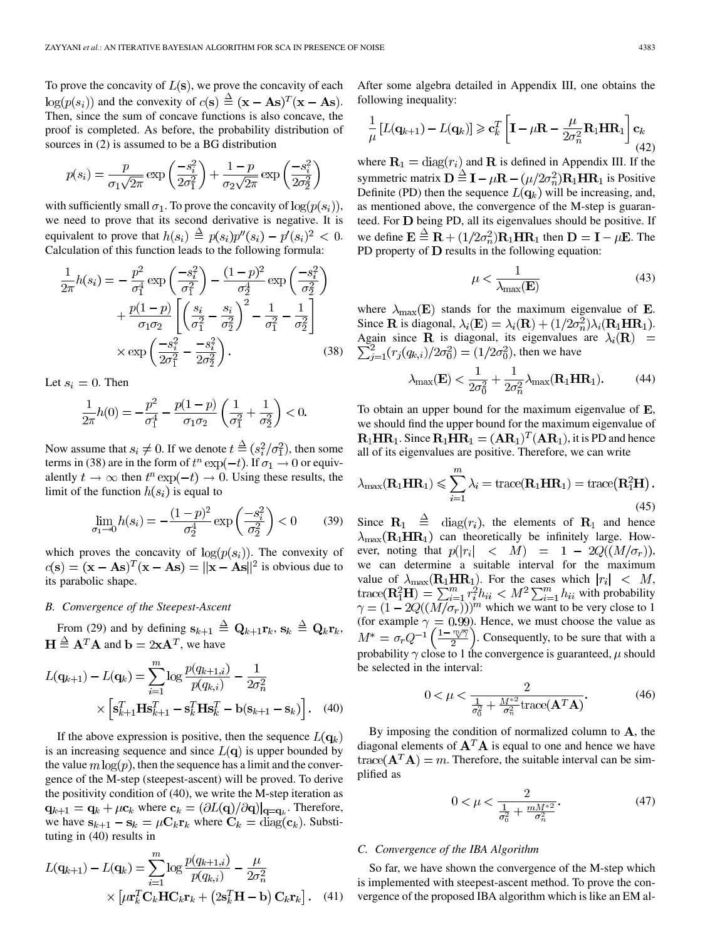To prove the concavity of  $L(s)$ , we prove the concavity of each  $\log(p(s_i))$  and the convexity of  $c(s) \stackrel{\Delta}{=} (\mathbf{x} - \mathbf{As})^T (\mathbf{x} - \mathbf{As}).$ Then, since the sum of concave functions is also concave, the proof is completed. As before, the probability distribution of sources in (2) is assumed to be a BG distribution

$$
p(s_i) = \frac{p}{\sigma_1 \sqrt{2\pi}} \exp\left(\frac{-s_i^2}{2\sigma_1^2}\right) + \frac{1-p}{\sigma_2 \sqrt{2\pi}} \exp\left(\frac{-s_i^2}{2\sigma_2^2}\right)
$$

with sufficiently small  $\sigma_1$ . To prove the concavity of  $\log(p(s_i))$ , we need to prove that its second derivative is negative. It is equivalent to prove that  $h(s_i) \triangleq p(s_i)p''(s_i) - p'(s_i)^2 < 0$ . Calculation of this function leads to the following formula:

$$
\frac{1}{2\pi}h(s_i) = -\frac{p^2}{\sigma_1^4} \exp\left(\frac{-s_i^2}{\sigma_1^2}\right) - \frac{(1-p)^2}{\sigma_2^4} \exp\left(\frac{-s_i^2}{\sigma_2^2}\right) \n+ \frac{p(1-p)}{\sigma_1 \sigma_2} \left[ \left(\frac{s_i}{\sigma_1^2} - \frac{s_i}{\sigma_2^2}\right)^2 - \frac{1}{\sigma_1^2} - \frac{1}{\sigma_2^2} \right] \n\times \exp\left(\frac{-s_i^2}{2\sigma_1^2} - \frac{-s_i^2}{2\sigma_2^2}\right).
$$
\n(38)

Let  $s_i = 0$ . Then

$$
\frac{1}{2\pi}h(0) = -\frac{p^2}{\sigma_1^4} - \frac{p(1-p)}{\sigma_1\sigma_2} \left(\frac{1}{\sigma_1^2} + \frac{1}{\sigma_2^2}\right) < 0.
$$

Now assume that  $s_i \neq 0$ . If we denote  $t \stackrel{\Delta}{=} (s_i^2/\sigma_1^2)$ , then some terms in (38) are in the form of  $t^n \exp(-t)$ . If  $\sigma_1 \to 0$  or equivalently  $t \to \infty$  then  $t^n \exp(-t) \to 0$ . Using these results, the limit of the function  $h(s_i)$  is equal to

$$
\lim_{\sigma_1 \to 0} h(s_i) = -\frac{(1-p)^2}{\sigma_2^4} \exp\left(\frac{-s_i^2}{\sigma_2^2}\right) < 0 \tag{39}
$$

which proves the concavity of  $log(p(s_i))$ . The convexity of  $c(s) = (\mathbf{x} - \mathbf{A}\mathbf{s})^T(\mathbf{x} - \mathbf{A}\mathbf{s}) = ||\mathbf{x} - \mathbf{A}\mathbf{s}||^2$  is obvious due to its parabolic shape.

## *B. Convergence of the Steepest-Ascent*

From (29) and by defining  $\mathbf{s}_{k+1} \triangleq \mathbf{Q}_{k+1} \mathbf{r}_k$ ,  $\mathbf{s}_k \triangleq \mathbf{Q}_k \mathbf{r}_k$ ,  $\mathbf{H} \stackrel{\Delta}{=} \mathbf{A}^T \mathbf{A}$  and  $\mathbf{b} = 2\mathbf{x} \mathbf{A}^T$ , we have

$$
L(\mathbf{q}_{k+1}) - L(\mathbf{q}_k) = \sum_{i=1}^{m} \log \frac{p(q_{k+1,i})}{p(q_{k,i})} - \frac{1}{2\sigma_n^2}
$$

$$
\times \left[ \mathbf{s}_{k+1}^T \mathbf{H} \mathbf{s}_{k+1}^T - \mathbf{s}_k^T \mathbf{H} \mathbf{s}_k^T - \mathbf{b} (\mathbf{s}_{k+1} - \mathbf{s}_k) \right]. \quad (40)
$$

If the above expression is positive, then the sequence  $L(\mathbf{q}_k)$ is an increasing sequence and since  $L(\mathbf{q})$  is upper bounded by the value  $m \log(p)$ , then the sequence has a limit and the convergence of the M-step (steepest-ascent) will be proved. To derive the positivity condition of (40), we write the M-step iteration as  $\mathbf{q}_{k+1} = \mathbf{q}_k + \mu \mathbf{c}_k$  where  $\mathbf{c}_k = (\partial L(\mathbf{q})/\partial \mathbf{q})|_{\mathbf{q} = \mathbf{q}_k}$ . Therefore, we have  $\mathbf{s}_{k+1} - \mathbf{s}_k = \mu \mathbf{C}_k \mathbf{r}_k$  where  $\mathbf{C}_k = \text{diag}(\mathbf{c}_k)$ . Substituting in (40) results in

$$
L(\mathbf{q}_{k+1}) - L(\mathbf{q}_k) = \sum_{i=1}^{m} \log \frac{p(q_{k+1,i})}{p(q_{k,i})} - \frac{\mu}{2\sigma_n^2}
$$

$$
\times \left[ \mu \mathbf{r}_k^T \mathbf{C}_k \mathbf{H} \mathbf{C}_k \mathbf{r}_k + \left( 2 \mathbf{s}_k^T \mathbf{H} - \mathbf{b} \right) \mathbf{C}_k \mathbf{r}_k \right]. \quad (41)
$$

After some algebra detailed in Appendix III, one obtains the following inequality:

$$
\frac{1}{\mu} \left[ L(\mathbf{q}_{k+1}) - L(\mathbf{q}_k) \right] \geq \mathbf{c}_k^T \left[ \mathbf{I} - \mu \mathbf{R} - \frac{\mu}{2\sigma_n^2} \mathbf{R}_1 \mathbf{H} \mathbf{R}_1 \right] \mathbf{c}_k
$$
\n(42)

where  $\mathbf{R}_1 = \text{diag}(r_i)$  and  $\mathbf{R}$  is defined in Appendix III. If the symmetric matrix  $\mathbf{D} \stackrel{\Delta}{=} \mathbf{I} - \mu \mathbf{R} - (\mu/2\sigma_n^2)\mathbf{R}_1\mathbf{H}\mathbf{R}_1$  is Positive Definite (PD) then the sequence  $L(\mathbf{q}_k)$  will be increasing, and, as mentioned above, the convergence of the M-step is guaranteed. For D being PD, all its eigenvalues should be positive. If we define  $\mathbf{E} \stackrel{\Delta}{=} \mathbf{R} + (1/2\sigma_n^2)\mathbf{R}_1\mathbf{H}\mathbf{R}_1$  then  $\mathbf{D} = \mathbf{I} - \mu \mathbf{E}$ . The PD property of  $D$  results in the following equation:

$$
\mu < \frac{1}{\lambda_{\text{max}}(\mathbf{E})} \tag{43}
$$

where  $\lambda_{\text{max}}(E)$  stands for the maximum eigenvalue of E. Since **R** is diagonal,  $\lambda_i(\mathbf{E}) = \lambda_i(\mathbf{R}) + (1/2\sigma_n^2)\lambda_i(\mathbf{R}_1\mathbf{H}\mathbf{R}_1)$ . Again since **R** is diagonal, its eigenvalues are  $\lambda_i(\mathbf{R})$  =  $\sum_{j=1}^{2} (r_j(q_{k,i})/2\sigma_0^2) = (1/2\sigma_0^2)$ , then we have

$$
\lambda_{\max}(\mathbf{E}) < \frac{1}{2\sigma_0^2} + \frac{1}{2\sigma_n^2} \lambda_{\max}(\mathbf{R}_1 \mathbf{H} \mathbf{R}_1). \tag{44}
$$

To obtain an upper bound for the maximum eigenvalue of  $E$ , we should find the upper bound for the maximum eigenvalue of  $\mathbf{R}_1 \mathbf{H} \mathbf{R}_1$ . Since  $\mathbf{R}_1 \mathbf{H} \mathbf{R}_1 = (\mathbf{A} \mathbf{R}_1)^T (\mathbf{A} \mathbf{R}_1)$ , it is PD and hence all of its eigenvalues are positive. Therefore, we can write

$$
\lambda_{\max}(\mathbf{R}_1 \mathbf{H} \mathbf{R}_1) \leqslant \sum_{i=1}^{m} \lambda_i = \text{trace}(\mathbf{R}_1 \mathbf{H} \mathbf{R}_1) = \text{trace}(\mathbf{R}_1^2 \mathbf{H}).
$$
\n(45)

Since  $\mathbf{R}_1 \triangleq \text{diag}(r_i)$ , the elements of  $\mathbf{R}_1$  and hence  $\lambda_{\text{max}}(\mathbf{R}_1 \mathbf{H} \mathbf{R}_1)$  can theoretically be infinitely large. However, noting that  $p(|r_i| < M) = 1 - 2Q((M/\sigma_r)),$ we can determine a suitable interval for the maximum value of  $\lambda_{\text{max}}(\mathbf{R}_1 \mathbf{H} \mathbf{R}_1)$ . For the cases which  $|r_i| < M$ , with probability which we want to be very close to 1 (for example  $\gamma = 0.99$ ). Hence, we must choose the value as . Consequently, to be sure that with a probability  $\gamma$  close to 1 the convergence is guaranteed,  $\mu$  should be selected in the interval:

$$
0 < \mu < \frac{2}{\frac{1}{\sigma_0^2} + \frac{M^*^2}{\sigma_n^2} \text{trace}(\mathbf{A}^T \mathbf{A})}.\tag{46}
$$

By imposing the condition of normalized column to  $A$ , the diagonal elements of  $A<sup>T</sup>A$  is equal to one and hence we have trace( $A^T A$ ) = m. Therefore, the suitable interval can be simplified as

$$
0 < \mu < \frac{2}{\frac{1}{\sigma_0^2} + \frac{mM^{*2}}{\sigma_n^2}}.\tag{47}
$$

## *C. Convergence of the IBA Algorithm*

So far, we have shown the convergence of the M-step which is implemented with steepest-ascent method. To prove the convergence of the proposed IBA algorithm which is like an EM al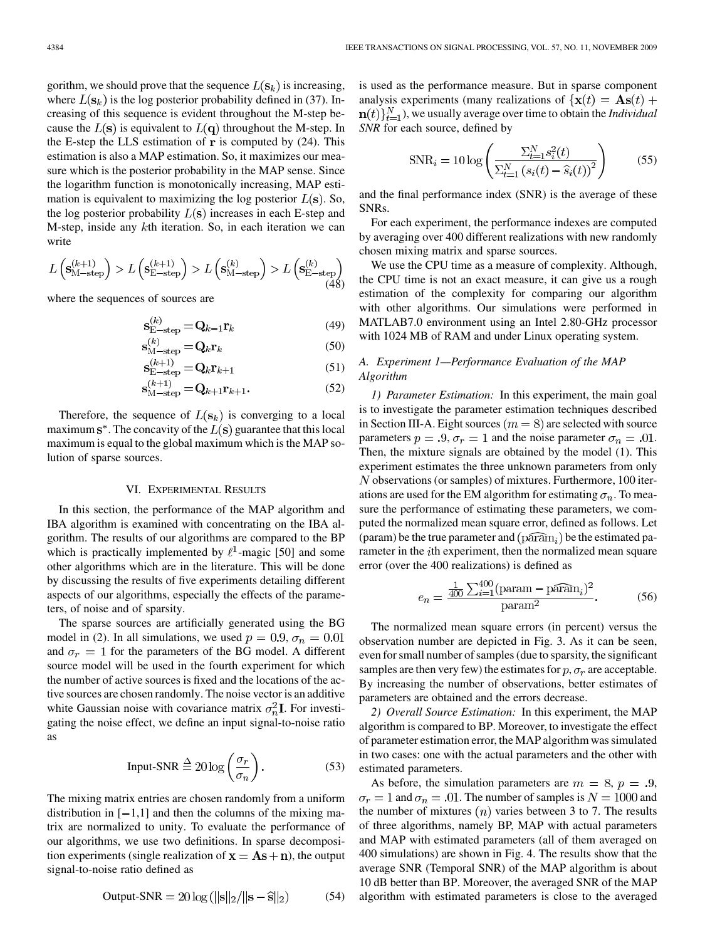gorithm, we should prove that the sequence  $L(\mathbf{s}_k)$  is increasing, where  $L(\mathbf{s}_k)$  is the log posterior probability defined in (37). Increasing of this sequence is evident throughout the M-step because the  $L(s)$  is equivalent to  $L(q)$  throughout the M-step. In the E-step the LLS estimation of  $\bf{r}$  is computed by (24). This estimation is also a MAP estimation. So, it maximizes our measure which is the posterior probability in the MAP sense. Since the logarithm function is monotonically increasing, MAP estimation is equivalent to maximizing the log posterior  $L(s)$ . So, the log posterior probability  $L(s)$  increases in each E-step and M-step, inside any  $k$ th iteration. So, in each iteration we can write

$$
L\left(\mathbf{s}_{\mathrm{M-step}}^{(k+1)}\right) > L\left(\mathbf{s}_{\mathrm{E-step}}^{(k+1)}\right) > L\left(\mathbf{s}_{\mathrm{M-step}}^{(k)}\right) > L\left(\mathbf{s}_{\mathrm{E-step}}^{(k)}\right)
$$
\n(48)

where the sequences of sources are

$$
\mathbf{s}_{\mathrm{E-step}}^{(k)} = \mathbf{Q}_{k-1} \mathbf{r}_k \tag{49}
$$

$$
\mathbf{s}_{\mathrm{M-step}}^{(k)} = \mathbf{Q}_k \mathbf{r}_k \tag{50}
$$

$$
\mathbf{s}_{\text{E}-\text{step}}^{(\kappa+1)} = \mathbf{Q}_k \mathbf{r}_{k+1} \tag{51}
$$

$$
\mathbf{s}_{\mathrm{M-step}}^{(\kappa+1)} = \mathbf{Q}_{k+1} \mathbf{r}_{k+1}.
$$
 (52)

Therefore, the sequence of  $L(\mathbf{s}_k)$  is converging to a local maximum  $\mathbf{s}^*$ . The concavity of the  $L(\mathbf{s})$  guarantee that this local maximum is equal to the global maximum which is the MAP solution of sparse sources.

## VI. EXPERIMENTAL RESULTS

In this section, the performance of the MAP algorithm and IBA algorithm is examined with concentrating on the IBA algorithm. The results of our algorithms are compared to the BP which is practically implemented by  $\ell^1$ -magic [50] and some other algorithms which are in the literature. This will be done by discussing the results of five experiments detailing different aspects of our algorithms, especially the effects of the parameters, of noise and of sparsity.

The sparse sources are artificially generated using the BG model in (2). In all simulations, we used  $p = 0.9$ ,  $\sigma_n = 0.01$ and  $\sigma_r = 1$  for the parameters of the BG model. A different source model will be used in the fourth experiment for which the number of active sources is fixed and the locations of the active sources are chosen randomly. The noise vector is an additive white Gaussian noise with covariance matrix  $\sigma_n^2 \mathbf{I}$ . For investigating the noise effect, we define an input signal-to-noise ratio as

Input-SNR 
$$
\stackrel{\Delta}{=} 20 \log \left( \frac{\sigma_r}{\sigma_n} \right)
$$
. (53)

The mixing matrix entries are chosen randomly from a uniform distribution in  $[-1,1]$  and then the columns of the mixing matrix are normalized to unity. To evaluate the performance of our algorithms, we use two definitions. In sparse decomposition experiments (single realization of  ${\bf x} = {\bf A} {\bf s} + {\bf n}$ ), the output signal-to-noise ratio defined as

Output-SNR = 
$$
20 \log (||\mathbf{s}||_2 / ||\mathbf{s} - \hat{\mathbf{s}}||_2)
$$
 (54)

is used as the performance measure. But in sparse component analysis experiments (many realizations of  $\mathbf{x}(t) = \mathbf{As}(t) +$  $\mathbf{n}(t)$ <sub> $i=1$ </sub>), we usually average over time to obtain the *Individual SNR* for each source, defined by

$$
SNR_i = 10 \log \left( \frac{\sum_{t=1}^{N} s_i^2(t)}{\sum_{t=1}^{N} (s_i(t) - \hat{s}_i(t))^2} \right)
$$
 (55)

and the final performance index (SNR) is the average of these SNRs.

For each experiment, the performance indexes are computed by averaging over 400 different realizations with new randomly chosen mixing matrix and sparse sources.

We use the CPU time as a measure of complexity. Although, the CPU time is not an exact measure, it can give us a rough estimation of the complexity for comparing our algorithm with other algorithms. Our simulations were performed in MATLAB7.0 environment using an Intel 2.80-GHz processor with 1024 MB of RAM and under Linux operating system.

# *A. Experiment 1—Performance Evaluation of the MAP Algorithm*

*1) Parameter Estimation:* In this experiment, the main goal is to investigate the parameter estimation techniques described in Section III-A. Eight sources  $(m = 8)$  are selected with source parameters  $p = .9, \sigma_r = 1$  and the noise parameter  $\sigma_n = .01$ . Then, the mixture signals are obtained by the model (1). This experiment estimates the three unknown parameters from only  $N$  observations (or samples) of mixtures. Furthermore, 100 iterations are used for the EM algorithm for estimating  $\sigma_n$ . To measure the performance of estimating these parameters, we computed the normalized mean square error, defined as follows. Let (param) be the true parameter and  $(\widehat{\text{param}}_i)$  be the estimated parameter in the *i*th experiment, then the normalized mean square error (over the 400 realizations) is defined as

$$
e_n = \frac{\frac{1}{400} \sum_{i=1}^{400} (\text{param} - \text{páram}_i)^2}{\text{param}^2}.
$$
 (56)

The normalized mean square errors (in percent) versus the observation number are depicted in Fig. 3. As it can be seen, even for small number of samples (due to sparsity, the significant samples are then very few) the estimates for  $p, \sigma_r$  are acceptable. By increasing the number of observations, better estimates of parameters are obtained and the errors decrease.

*2) Overall Source Estimation:* In this experiment, the MAP algorithm is compared to BP. Moreover, to investigate the effect of parameter estimation error, the MAP algorithm was simulated in two cases: one with the actual parameters and the other with estimated parameters.

As before, the simulation parameters are  $m = 8$ ,  $p = .9$ ,  $\sigma_r = 1$  and  $\sigma_n = .01$ . The number of samples is  $N = 1000$  and the number of mixtures  $(n)$  varies between 3 to 7. The results of three algorithms, namely BP, MAP with actual parameters and MAP with estimated parameters (all of them averaged on 400 simulations) are shown in Fig. 4. The results show that the average SNR (Temporal SNR) of the MAP algorithm is about 10 dB better than BP. Moreover, the averaged SNR of the MAP algorithm with estimated parameters is close to the averaged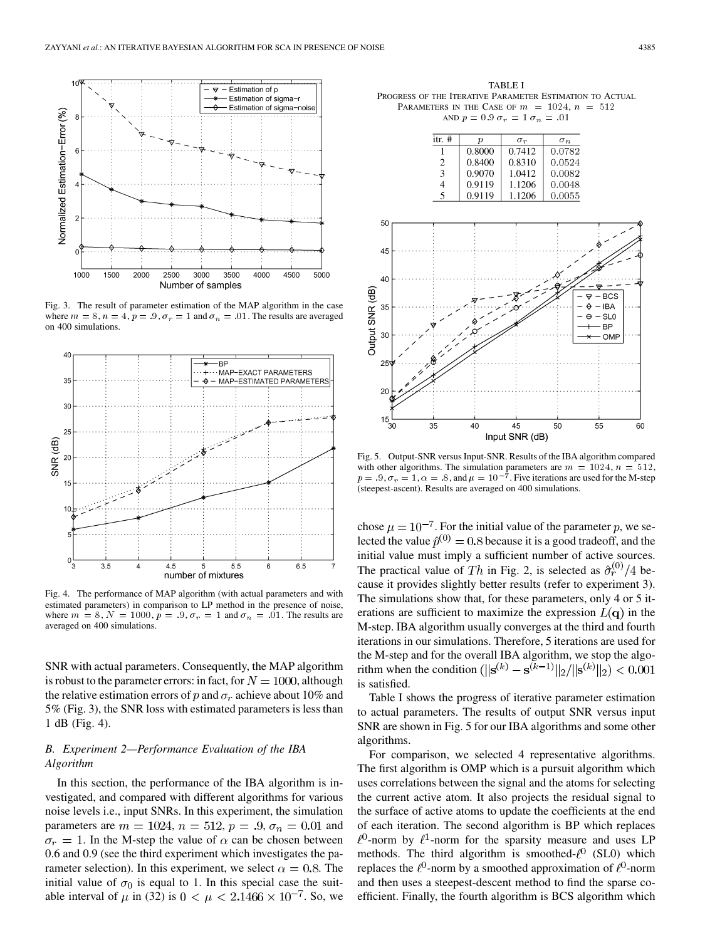

Fig. 3. The result of parameter estimation of the MAP algorithm in the case where  $m = 8$ ,  $n = 4$ ,  $p = .9$ ,  $\sigma_r = 1$  and  $\sigma_n = .01$ . The results are averaged on 400 simulations.



Fig. 4. The performance of MAP algorithm (with actual parameters and with estimated parameters) in comparison to LP method in the presence of noise, where  $m = 8$ ,  $N = 1000$ ,  $p = .9$ ,  $\sigma_r = 1$  and  $\sigma_n = .01$ . The results are averaged on 400 simulations.

SNR with actual parameters. Consequently, the MAP algorithm is robust to the parameter errors: in fact, for  $N = 1000$ , although the relative estimation errors of p and  $\sigma_r$  achieve about 10% and 5% (Fig. 3), the SNR loss with estimated parameters is less than 1 dB (Fig. 4).

# *B. Experiment 2—Performance Evaluation of the IBA Algorithm*

In this section, the performance of the IBA algorithm is investigated, and compared with different algorithms for various noise levels i.e., input SNRs. In this experiment, the simulation parameters are  $m = 1024$ ,  $n = 512$ ,  $p = .9$ ,  $\sigma_n = 0.01$  and  $\sigma_r = 1$ . In the M-step the value of  $\alpha$  can be chosen between 0.6 and 0.9 (see the third experiment which investigates the parameter selection). In this experiment, we select  $\alpha = 0.8$ . The initial value of  $\sigma_0$  is equal to 1. In this special case the suitable interval of  $\mu$  in (32) is  $0 < \mu < 2.1466 \times 10^{-7}$ . So, we

TABLE I PROGRESS OF THE ITERATIVE PARAMETER ESTIMATION TO ACTUAL PARAMETERS IN THE CASE OF  $m = 1024$ ,  $n = 512$ AND  $p = 0.9 \sigma_r = 1 \sigma_n = .01$ 

| itr.# | р      | $\sigma_r$ | $\sigma_n$ |
|-------|--------|------------|------------|
|       | 0.8000 | 0.7412     | 0.0782     |
| 2     | 0.8400 | 0.8310     | 0.0524     |
| 3     | 0.9070 | 1.0412     | 0.0082     |
|       | 0.9119 | 1.1206     | 0.0048     |
| 5     | 0.9119 | 1.1206     | 0.0055     |



Fig. 5. Output-SNR versus Input-SNR. Results of the IBA algorithm compared with other algorithms. The simulation parameters are  $m = 1024$ ,  $n = 512$ ,  $p = 0.9$ ,  $\sigma_r = 1$ ,  $\alpha = 0.8$ , and  $\mu = 10^{-7}$ . Five iterations are used for the M-step (steepest-ascent). Results are averaged on 400 simulations.

chose  $\mu = 10^{-7}$ . For the initial value of the parameter p, we selected the value  $\hat{p}^{(0)} = 0.8$  because it is a good tradeoff, and the initial value must imply a sufficient number of active sources. The practical value of Th in Fig. 2, is selected as  $\hat{\sigma}_r^{(0)}/4$  because it provides slightly better results (refer to experiment 3). The simulations show that, for these parameters, only 4 or 5 iterations are sufficient to maximize the expression  $L(\mathbf{q})$  in the M-step. IBA algorithm usually converges at the third and fourth iterations in our simulations. Therefore, 5 iterations are used for the M-step and for the overall IBA algorithm, we stop the algorithm when the condition  $(||{\bf s}^{(k)} - {\bf s}^{(k-1)}||_2/||{\bf s}^{(k)}||_2) < 0.001$ is satisfied.

Table I shows the progress of iterative parameter estimation to actual parameters. The results of output SNR versus input SNR are shown in Fig. 5 for our IBA algorithms and some other algorithms.

For comparison, we selected 4 representative algorithms. The first algorithm is OMP which is a pursuit algorithm which uses correlations between the signal and the atoms for selecting the current active atom. It also projects the residual signal to the surface of active atoms to update the coefficients at the end of each iteration. The second algorithm is BP which replaces  $\ell^0$ -norm by  $\ell^1$ -norm for the sparsity measure and uses LP methods. The third algorithm is smoothed- $\ell^0$  (SL0) which replaces the  $\ell^0$ -norm by a smoothed approximation of  $\ell^0$ -norm and then uses a steepest-descent method to find the sparse coefficient. Finally, the fourth algorithm is BCS algorithm which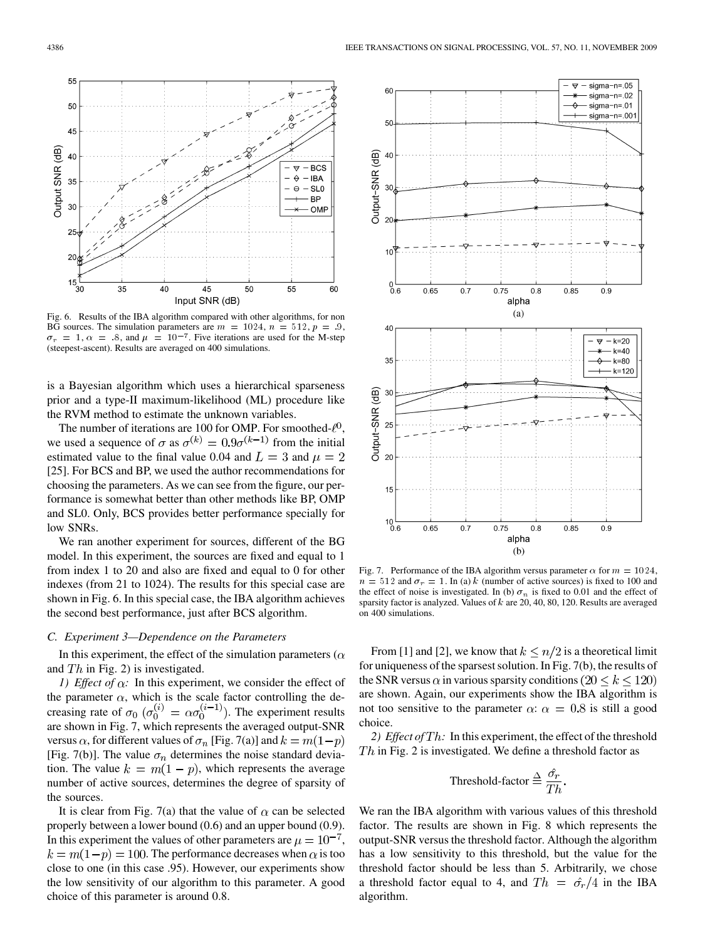60

 $5<sub>C</sub>$ 

Output-SNR (dB)

 $sigma-n=.05$ 

 $sigma-n=.02$ 

sigma-n=.01  $siama-n=.001$ 

 $\overline{\nabla}$ 

Fig. 6. Results of the IBA algorithm compared with other algorithms, for non BG sources. The simulation parameters are  $m = 1024$ ,  $n = 512$ ,  $p = .9$ ,  $\sigma_r = 1, \alpha = .8$ , and  $\mu = 10^{-7}$ . Five iterations are used for the M-step (steepest-ascent). Results are averaged on 400 simulations.

is a Bayesian algorithm which uses a hierarchical sparseness prior and a type-II maximum-likelihood (ML) procedure like the RVM method to estimate the unknown variables.

The number of iterations are 100 for OMP. For smoothed- $\ell^0$ , we used a sequence of  $\sigma$  as  $\sigma^{(k)} = 0.9\sigma^{(k-1)}$  from the initial estimated value to the final value 0.04 and  $L = 3$  and  $\mu = 2$ [25]. For BCS and BP, we used the author recommendations for choosing the parameters. As we can see from the figure, our performance is somewhat better than other methods like BP, OMP and SL0. Only, BCS provides better performance specially for low SNRs.

We ran another experiment for sources, different of the BG model. In this experiment, the sources are fixed and equal to 1 from index 1 to 20 and also are fixed and equal to 0 for other indexes (from 21 to 1024). The results for this special case are shown in Fig. 6. In this special case, the IBA algorithm achieves the second best performance, just after BCS algorithm.

#### *C. Experiment 3—Dependence on the Parameters*

In this experiment, the effect of the simulation parameters ( $\alpha$ ) and  $Th$  in Fig. 2) is investigated.

*1) Effect of*  $\alpha$ : In this experiment, we consider the effect of the parameter  $\alpha$ , which is the scale factor controlling the decreasing rate of  $\sigma_0$  ( $\sigma_0^{(v)} = \alpha \sigma_0^{(v-1)}$ ). The experiment results are shown in Fig. 7, which represents the averaged output-SNR versus  $\alpha$ , for different values of  $\sigma_n$  [Fig. 7(a)] and  $k = m(1-p)$ [Fig. 7(b)]. The value  $\sigma_n$  determines the noise standard deviation. The value  $k = m(1 - p)$ , which represents the average number of active sources, determines the degree of sparsity of the sources.

It is clear from Fig. 7(a) that the value of  $\alpha$  can be selected properly between a lower bound (0.6) and an upper bound (0.9). In this experiment the values of other parameters are  $\mu = 10^{-7}$ ,  $k = m(1-p) = 100$ . The performance decreases when  $\alpha$  is too close to one (in this case .95). However, our experiments show the low sensitivity of our algorithm to this parameter. A good choice of this parameter is around 0.8.



From [1] and [2], we know that  $k \leq n/2$  is a theoretical limit for uniqueness of the sparsest solution. In Fig. 7(b), the results of the SNR versus  $\alpha$  in various sparsity conditions (20  $\leq k \leq 120$ ) are shown. Again, our experiments show the IBA algorithm is not too sensitive to the parameter  $\alpha$ :  $\alpha = 0.8$  is still a good choice.

2) *Effect of Th*: In this experiment, the effect of the threshold  $Th$  in Fig. 2 is investigated. We define a threshold factor as

Threshold-factor 
$$
\stackrel{\Delta}{=} \frac{\stackrel{\frown}{\sigma_r}}{Th}
$$

We ran the IBA algorithm with various values of this threshold factor. The results are shown in Fig. 8 which represents the output-SNR versus the threshold factor. Although the algorithm has a low sensitivity to this threshold, but the value for the threshold factor should be less than 5. Arbitrarily, we chose a threshold factor equal to 4, and  $Th = \hat{\sigma}_r/4$  in the IBA algorithm.



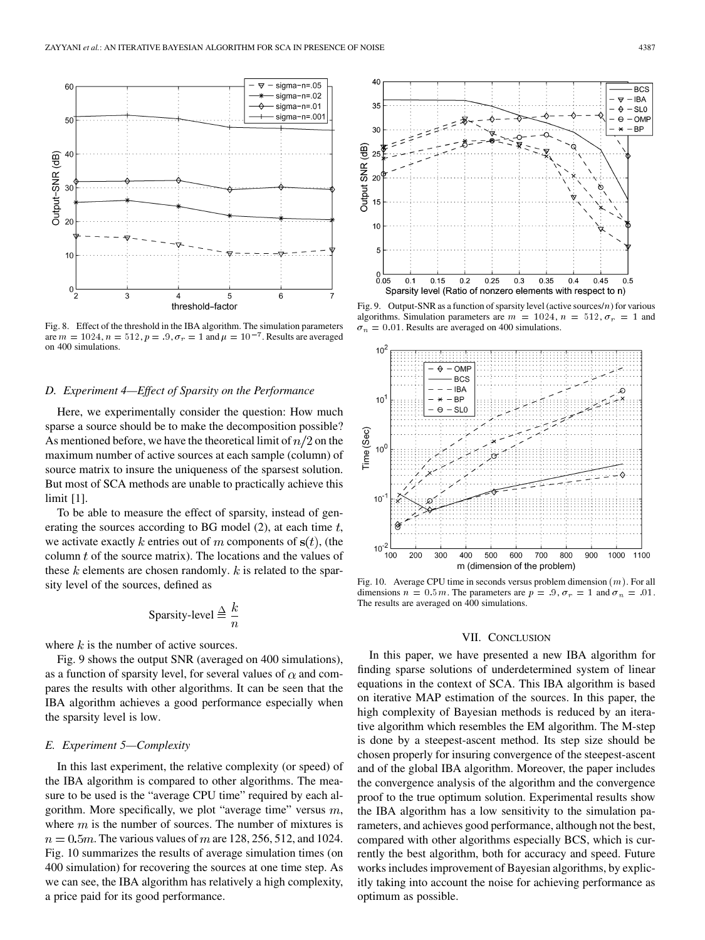

Fig. 8. Effect of the threshold in the IBA algorithm. The simulation parameters are  $m = 1024$ ,  $n = 512$ ,  $p = .9$ ,  $\sigma_r = 1$  and  $\mu = 10^{-7}$ . Results are averaged on 400 simulations.

## *D. Experiment 4—Effect of Sparsity on the Performance*

Here, we experimentally consider the question: How much sparse a source should be to make the decomposition possible? As mentioned before, we have the theoretical limit of  $n/2$  on the maximum number of active sources at each sample (column) of source matrix to insure the uniqueness of the sparsest solution. But most of SCA methods are unable to practically achieve this limit [1].

To be able to measure the effect of sparsity, instead of generating the sources according to BG model  $(2)$ , at each time  $t$ , we activate exactly k entries out of m components of  $s(t)$ , (the column  $t$  of the source matrix). The locations and the values of these  $k$  elements are chosen randomly.  $k$  is related to the sparsity level of the sources, defined as

$$
S\text{parsity-level} \stackrel{\Delta}{=} \frac{k}{n}
$$

where  $k$  is the number of active sources.

Fig. 9 shows the output SNR (averaged on 400 simulations), as a function of sparsity level, for several values of  $\alpha$  and compares the results with other algorithms. It can be seen that the IBA algorithm achieves a good performance especially when the sparsity level is low.

## *E. Experiment 5—Complexity*

In this last experiment, the relative complexity (or speed) of the IBA algorithm is compared to other algorithms. The measure to be used is the "average CPU time" required by each algorithm. More specifically, we plot "average time" versus  $m$ , where  $m$  is the number of sources. The number of mixtures is  $n = 0.5m$ . The various values of m are 128, 256, 512, and 1024. Fig. 10 summarizes the results of average simulation times (on 400 simulation) for recovering the sources at one time step. As we can see, the IBA algorithm has relatively a high complexity, a price paid for its good performance.



Fig. 9. Output-SNR as a function of sparsity level (active sources/ $n$ ) for various algorithms. Simulation parameters are  $m = 1024$ ,  $n = 512$ ,  $\sigma_r = 1$  and  $\sigma_n = 0.01$ . Results are averaged on 400 simulations.



Fig. 10. Average CPU time in seconds versus problem dimension  $(m)$ . For all dimensions  $n = 0.5m$ . The parameters are  $p = .9$ ,  $\sigma_r = 1$  and  $\sigma_n = .01$ . The results are averaged on 400 simulations.

## VII. CONCLUSION

In this paper, we have presented a new IBA algorithm for finding sparse solutions of underdetermined system of linear equations in the context of SCA. This IBA algorithm is based on iterative MAP estimation of the sources. In this paper, the high complexity of Bayesian methods is reduced by an iterative algorithm which resembles the EM algorithm. The M-step is done by a steepest-ascent method. Its step size should be chosen properly for insuring convergence of the steepest-ascent and of the global IBA algorithm. Moreover, the paper includes the convergence analysis of the algorithm and the convergence proof to the true optimum solution. Experimental results show the IBA algorithm has a low sensitivity to the simulation parameters, and achieves good performance, although not the best, compared with other algorithms especially BCS, which is currently the best algorithm, both for accuracy and speed. Future works includes improvement of Bayesian algorithms, by explicitly taking into account the noise for achieving performance as optimum as possible.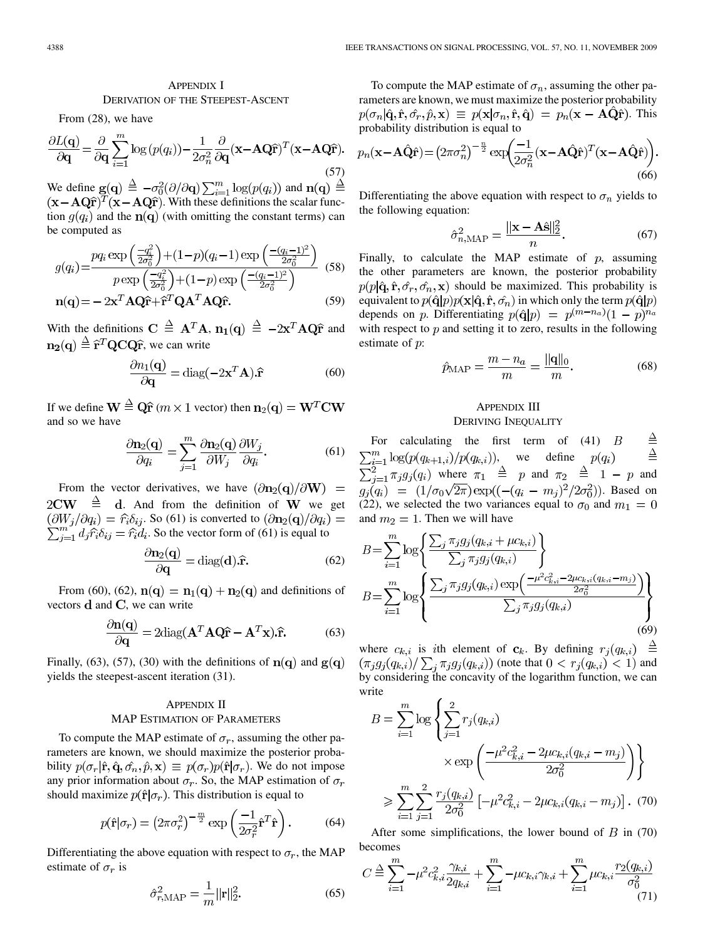# APPENDIX I DERIVATION OF THE STEEPEST-ASCENT

From (28), we have

$$
\frac{\partial L(\mathbf{q})}{\partial \mathbf{q}} = \frac{\partial}{\partial \mathbf{q}} \sum_{i=1}^{m} \log (p(q_i)) - \frac{1}{2\sigma_n^2} \frac{\partial}{\partial \mathbf{q}} (\mathbf{x} - \mathbf{A} \mathbf{Q} \hat{\mathbf{r}})^T (\mathbf{x} - \mathbf{A} \mathbf{Q} \hat{\mathbf{r}}).
$$
\n(57)

We define  $\mathbf{g}(\mathbf{q}) \stackrel{\Delta}{=} -\sigma_0^2(\partial/\partial \mathbf{q}) \sum_{i=1}^m \log(p(q_i))$  and  $\mathbf{n}(\mathbf{q}) \stackrel{\Delta}{=}$  $(\mathbf{x} - \mathbf{A} \mathbf{Q} \hat{\mathbf{r}})^T (\mathbf{x} - \mathbf{A} \mathbf{Q} \hat{\mathbf{r}})$ . With these definitions the scalar function  $q(q_i)$  and the  $\mathbf{n}(\mathbf{q})$  (with omitting the constant terms) can be computed as

$$
g(q_i) = \frac{pq_i \exp\left(\frac{-q_i^2}{2\sigma_0^2}\right) + (1-p)(q_i - 1)\exp\left(\frac{-(q_i - 1)^2}{2\sigma_0^2}\right)}{p \exp\left(\frac{-q_i^2}{2\sigma_0^2}\right) + (1-p)\exp\left(\frac{-(q_i - 1)^2}{2\sigma_0^2}\right)}
$$
(58)

$$
n(q) = -2x^T A Q \hat{r} + \hat{r}^T Q A^T A Q \hat{r}.
$$
 (59)

With the definitions  $C \stackrel{\Delta}{=} A^T A$ ,  $n_1(q) \stackrel{\Delta}{=} -2x^T A Q \hat{r}$  and  $n_2(q) \stackrel{\Delta}{=} \hat{r}^T Q C Q \hat{r}$ , we can write

$$
\frac{\partial n_1(\mathbf{q})}{\partial \mathbf{q}} = \text{diag}(-2\mathbf{x}^T \mathbf{A}).\hat{\mathbf{r}} \tag{60}
$$

If we define  $\mathbf{W} \stackrel{\Delta}{=} \mathbf{Q} \hat{\mathbf{r}}$  (*m* × 1 vector) then  $\mathbf{n}_2(\mathbf{q}) = \mathbf{W}^T \mathbf{C} \mathbf{W}$ and so we have

$$
\frac{\partial \mathbf{n}_2(\mathbf{q})}{\partial q_i} = \sum_{j=1}^m \frac{\partial \mathbf{n}_2(\mathbf{q})}{\partial W_j} \frac{\partial W_j}{\partial q_i}.
$$
(61)

From the vector derivatives, we have  $(\partial n_2(q)/\partial W)$  =  $2CW \triangleq d$ . And from the definition of W we get  $(\partial W_j/\partial q_i) = \hat{r}_i \delta_{ij}$ . So (61) is converted to  $(\partial \mathbf{n}_2(\mathbf{q})/\partial q_i) =$  $\sum_{j=1}^{m} d_j \hat{r}_i \delta_{ij} = \hat{r}_i d_i$ . So the vector form of (61) is equal to

$$
\frac{\partial \mathbf{n}_2(\mathbf{q})}{\partial \mathbf{q}} = \text{diag}(\mathbf{d}) . \hat{\mathbf{r}}.
$$
 (62)

From (60), (62),  $n(q) = n_1(q) + n_2(q)$  and definitions of vectors  $d$  and  $C$ , we can write

$$
\frac{\partial \mathbf{n}(\mathbf{q})}{\partial \mathbf{q}} = 2 \text{diag}(\mathbf{A}^T \mathbf{A} \mathbf{Q} \hat{\mathbf{r}} - \mathbf{A}^T \mathbf{x}).\hat{\mathbf{r}}.
$$
 (63)

Finally, (63), (57), (30) with the definitions of  $n(q)$  and  $g(q)$ yields the steepest-ascent iteration (31).

# APPENDIX II MAP ESTIMATION OF PARAMETERS

To compute the MAP estimate of  $\sigma_r$ , assuming the other parameters are known, we should maximize the posterior probability  $p(\sigma_r|\hat{\mathbf{r}}, \hat{\mathbf{q}}, \hat{\sigma}_n, \hat{p}, \mathbf{x}) \equiv p(\sigma_r)p(\hat{\mathbf{r}}|\sigma_r)$ . We do not impose any prior information about  $\sigma_r$ . So, the MAP estimation of  $\sigma_r$ should maximize  $p(\hat{\mathbf{r}}|\sigma_r)$ . This distribution is equal to

$$
p(\hat{\mathbf{r}}|\sigma_r) = \left(2\pi\sigma_r^2\right)^{-\frac{m}{2}} \exp\left(\frac{-1}{2\sigma_r^2}\hat{\mathbf{r}}^T\hat{\mathbf{r}}\right). \tag{64}
$$

Differentiating the above equation with respect to  $\sigma_r$ , the MAP estimate of  $\sigma_r$  is

$$
\hat{\sigma}_{r,\text{MAP}}^2 = \frac{1}{m} ||\mathbf{r}||_2^2.
$$
 (65)

To compute the MAP estimate of  $\sigma_n$ , assuming the other parameters are known, we must maximize the posterior probability  $p(\sigma_n|\hat{\mathbf{q}}, \hat{\mathbf{r}}, \hat{\sigma_r}, \hat{p}, \mathbf{x}) \equiv p(\mathbf{x}|\sigma_n, \hat{\mathbf{r}}, \hat{\mathbf{q}}) = p_n(\mathbf{x} - \mathbf{A}\hat{\mathbf{Q}}\hat{\mathbf{r}})$ . This probability distribution is equal to

$$
p_n(\mathbf{x} - \mathbf{A}\hat{\mathbf{Q}}\hat{\mathbf{r}}) = (2\pi\sigma_n^2)^{-\frac{n}{2}} \exp\left(\frac{-1}{2\sigma_n^2}(\mathbf{x} - \mathbf{A}\hat{\mathbf{Q}}\hat{\mathbf{r}})^T(\mathbf{x} - \mathbf{A}\hat{\mathbf{Q}}\hat{\mathbf{r}})\right).
$$
(66)

Differentiating the above equation with respect to  $\sigma_n$  yields to the following equation:

$$
\hat{\sigma}_{n,\text{MAP}}^2 = \frac{\|\mathbf{x} - \mathbf{A}\hat{\mathbf{s}}\|_2^2}{n}.\tag{67}
$$

Finally, to calculate the MAP estimate of  $p$ , assuming the other parameters are known, the posterior probability  $p(p|\hat{\mathbf{q}}, \hat{\mathbf{r}}, \hat{\sigma}_r, \hat{\sigma}_n, \mathbf{x})$  should be maximized. This probability is equivalent to  $p(\hat{q}|p)p(x|\hat{q}, \hat{r}, \hat{\sigma}_n)$  in which only the term  $p(\hat{q}|p)$ depends on p. Differentiating  $p(\hat{\mathbf{q}}|p) = p^{(m-n_a)}(1-p)^{n_a}$ with respect to  $p$  and setting it to zero, results in the following estimate of  $p$ :

$$
\hat{p}_{\rm MAP} = \frac{m - n_a}{m} = \frac{\|\mathbf{q}\|_0}{m}.
$$
\n(68)

#### APPENDIX III DERIVING INEQUALITY

For calculating the first term of  $(41)$  B  $\triangleq$ , we define where  $\pi_1 \triangleq p$  and  $\pi_2 \triangleq 1 - p$  and  $g_i(q_i) = (1/\sigma_0\sqrt{2\pi}) \exp((- (q_i - m_i)^2/2\sigma_0^2))$ . Based on (22), we selected the two variances equal to  $\sigma_0$  and  $m_1 = 0$ and  $m_2 = 1$ . Then we will have

$$
B = \sum_{i=1}^{m} \log \left\{ \frac{\sum_{j} \pi_{j} g_{j}(q_{k,i} + \mu c_{k,i})}{\sum_{j} \pi_{j} g_{j}(q_{k,i})} \right\}
$$
  

$$
B = \sum_{i=1}^{m} \log \left\{ \frac{\sum_{j} \pi_{j} g_{j}(q_{k,i}) \exp \left( \frac{-\mu^{2} c_{k,i}^{2} - 2\mu c_{k,i}(q_{k,i} - m_{j})}{2\sigma_{0}^{2}} \right)}{\sum_{j} \pi_{j} g_{j}(q_{k,i})} \right\}
$$
(69)

where  $c_{k,i}$  is ith element of  $c_k$ . By defining  $r_i(q_{k,i}) \equiv$  $(\pi_j g_j(q_{k,i})/\sum_j \pi_j g_j(q_{k,i}))$  (note that  $0 < r_j(q_{k,i}) < 1$ ) and by considering the concavity of the logarithm function, we can write

$$
B = \sum_{i=1}^{m} \log \left\{ \sum_{j=1}^{2} r_j(q_{k,i}) \times \exp \left( \frac{-\mu^2 c_{k,i}^2 - 2\mu c_{k,i}(q_{k,i} - m_j)}{2\sigma_0^2} \right) \right\}
$$
  

$$
\geqslant \sum_{i=1}^{m} \sum_{j=1}^{2} \frac{r_j(q_{k,i})}{2\sigma_0^2} \left[ -\mu^2 c_{k,i}^2 - 2\mu c_{k,i}(q_{k,i} - m_j) \right]. \tag{70}
$$

After some simplifications, the lower bound of  $B$  in (70) becomes

$$
C \stackrel{\Delta}{=} \sum_{i=1}^{m} -\mu^2 c_{k,i}^2 \frac{\gamma_{k,i}}{2q_{k,i}} + \sum_{i=1}^{m} -\mu c_{k,i} \gamma_{k,i} + \sum_{i=1}^{m} \mu c_{k,i} \frac{r_2(q_{k,i})}{\sigma_0^2}
$$
\n(71)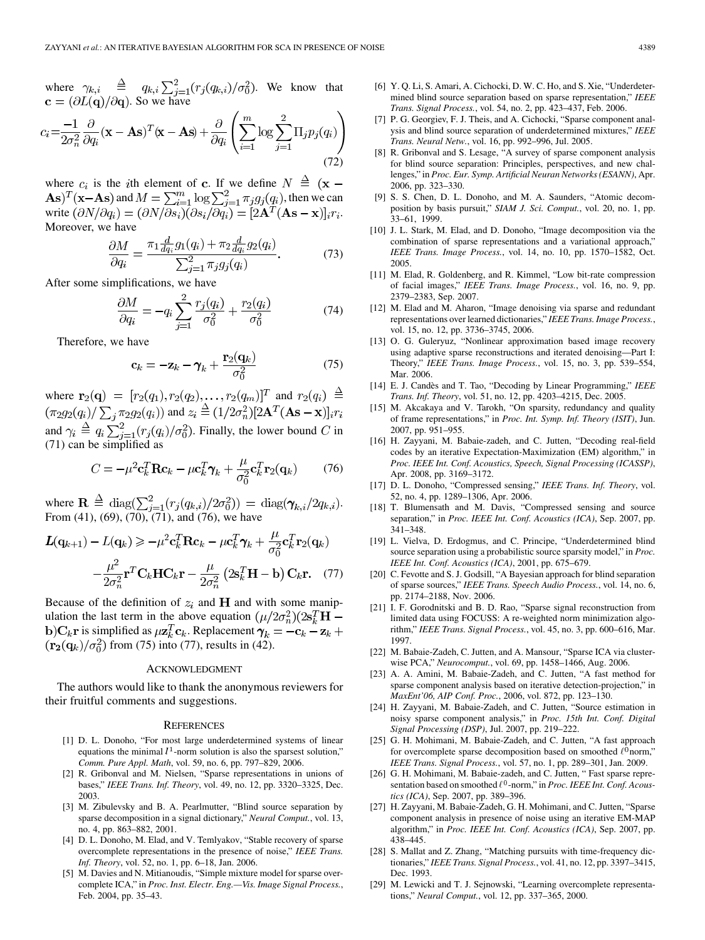where  $\gamma_{k,i} \equiv q_{k,i} \sum_{i=1}^{2} (r_i(q_{k,i})/\sigma_0^2)$ . We know that . So we have

$$
c_i = \frac{-1}{2\sigma_n^2} \frac{\partial}{\partial q_i} (\mathbf{x} - \mathbf{A}\mathbf{s})^T (\mathbf{x} - \mathbf{A}\mathbf{s}) + \frac{\partial}{\partial q_i} \left( \sum_{i=1}^m \log \sum_{j=1}^2 \Pi_j p_j(q_i) \right)
$$
(72)

where  $c_i$  is the *i*th element of **c**. If we define and  $M = \sum_{i=1}^{m} \log \sum_{i=1}^{2} \pi_i g_i(q_i)$ , then we can write  $(\partial N/\partial q_i) = (\partial N/\partial s_i)(\partial s_i/\partial q_i) = [2\mathbf{A}^T(\mathbf{A}\mathbf{s} - \mathbf{x})]_i r_i$ . Moreover, we have

$$
\frac{\partial M}{\partial q_i} = \frac{\pi_1 \frac{d}{dq_i} g_1(q_i) + \pi_2 \frac{d}{dq_i} g_2(q_i)}{\sum_{j=1}^2 \pi_j g_j(q_i)}.
$$
(73)

After some simplifications, we have

$$
\frac{\partial M}{\partial q_i} = -q_i \sum_{j=1}^2 \frac{r_j(q_i)}{\sigma_0^2} + \frac{r_2(q_i)}{\sigma_0^2} \tag{74}
$$

Therefore, we have

$$
\mathbf{c}_k = -\mathbf{z}_k - \boldsymbol{\gamma}_k + \frac{\mathbf{r}_2(\mathbf{q}_k)}{\sigma_0^2} \tag{75}
$$

where  $\mathbf{r}_2(q) = [r_2(q_1), r_2(q_2), \dots, r_2(q_m)]^T$  and  $r_2(q_i) \triangleq$  $(\pi_2 g_2(q_i)/\sum_i \pi_2 g_2(q_i))$  and  $z_i \stackrel{\Delta}{=} (1/2\sigma_n^2)[2\mathbf{A}^T(\mathbf{A}\mathbf{s}-\mathbf{x})]_i r_i$ and  $\gamma_i \triangleq q_i \sum_{j=1}^2 (r_j(q_i)/\sigma_0^2)$ . Finally, the lower bound C in (71) can be simplified as

$$
C = -\mu^2 \mathbf{c}_k^T \mathbf{R} \mathbf{c}_k - \mu \mathbf{c}_k^T \boldsymbol{\gamma}_k + \frac{\mu}{\sigma_0^2} \mathbf{c}_k^T \mathbf{r}_2(\mathbf{q}_k) \qquad (76)
$$

where  $\mathbf{R} \equiv \text{diag}(\sum_{i=1}^{2} (r_i(q_{k,i})/2\sigma_0^2)) = \text{diag}(\boldsymbol{\gamma}_{k,i}/2q_{k,i}).$ From (41), (69), (70), (71), and (76), we have

$$
\mathbf{L}(\mathbf{q}_{k+1}) - L(\mathbf{q}_k) \ge -\mu^2 \mathbf{c}_k^T \mathbf{R} \mathbf{c}_k - \mu \mathbf{c}_k^T \boldsymbol{\gamma}_k + \frac{\mu}{\sigma_0^2} \mathbf{c}_k^T \mathbf{r}_2(\mathbf{q}_k)
$$

$$
-\frac{\mu^2}{2\sigma_n^2} \mathbf{r}^T \mathbf{C}_k \mathbf{H} \mathbf{C}_k \mathbf{r} - \frac{\mu}{2\sigma_n^2} \left(2 \mathbf{s}_k^T \mathbf{H} - \mathbf{b}\right) \mathbf{C}_k \mathbf{r}.
$$
 (77)

Because of the definition of  $z_i$  and H and with some manipulation the last term in the above equation  $(\mu/2\sigma_n^2)(2s_k^T\mathbf{H}$ **i**b)**C**<sub>k</sub>**r** is simplified as  $\mu z_k^T$ **c**<sub>k</sub>. Replacement  $\gamma_k = -c_k - z_k +$  $(r_2(q_k)/\sigma_0^2)$  from (75) into (77), results in (42).

#### ACKNOWLEDGMENT

The authors would like to thank the anonymous reviewers for their fruitful comments and suggestions.

#### **REFERENCES**

- [1] D. L. Donoho, "For most large underdetermined systems of linear equations the minimal  $l<sup>1</sup>$ -norm solution is also the sparsest solution," *Comm. Pure Appl. Math*, vol. 59, no. 6, pp. 797–829, 2006.
- [2] R. Gribonval and M. Nielsen, "Sparse representations in unions of bases," *IEEE Trans. Inf. Theory*, vol. 49, no. 12, pp. 3320–3325, Dec. 2003.
- [3] M. Zibulevsky and B. A. Pearlmutter, "Blind source separation by sparse decomposition in a signal dictionary," *Neural Comput.*, vol. 13, no. 4, pp. 863–882, 2001.
- [4] D. L. Donoho, M. Elad, and V. Temlyakov, "Stable recovery of sparse overcomplete representations in the presence of noise," *IEEE Trans. Inf. Theory*, vol. 52, no. 1, pp. 6–18, Jan. 2006.
- [5] M. Davies and N. Mitianoudis, "Simple mixture model for sparse overcomplete ICA," in *Proc. Inst. Electr. Eng.—Vis. Image Signal Process.*, Feb. 2004, pp. 35–43.
- [6] Y. Q. Li, S. Amari, A. Cichocki, D. W. C. Ho, and S. Xie, "Underdetermined blind source separation based on sparse representation," *IEEE Trans. Signal Process.*, vol. 54, no. 2, pp. 423–437, Feb. 2006.
- [7] P. G. Georgiev, F. J. Theis, and A. Cichocki, "Sparse component analysis and blind source separation of underdetermined mixtures," *IEEE Trans. Neural Netw.*, vol. 16, pp. 992–996, Jul. 2005.
- [8] R. Gribonval and S. Lesage, "A survey of sparse component analysis for blind source separation: Principles, perspectives, and new challenges," in *Proc. Eur. Symp. Artificial Neuran Networks (ESANN)*, Apr. 2006, pp. 323–330.
- [9] S. S. Chen, D. L. Donoho, and M. A. Saunders, "Atomic decomposition by basis pursuit," *SIAM J. Sci. Comput.*, vol. 20, no. 1, pp. 33–61, 1999.
- [10] J. L. Stark, M. Elad, and D. Donoho, "Image decomposition via the combination of sparse representations and a variational approach," *IEEE Trans. Image Process.*, vol. 14, no. 10, pp. 1570–1582, Oct. 2005.
- [11] M. Elad, R. Goldenberg, and R. Kimmel, "Low bit-rate compression of facial images," *IEEE Trans. Image Process.*, vol. 16, no. 9, pp. 2379–2383, Sep. 2007.
- [12] M. Elad and M. Aharon, "Image denoising via sparse and redundant representations over learned dictionaries," *IEEE Trans. Image Process.*, vol. 15, no. 12, pp. 3736–3745, 2006.
- [13] O. G. Guleryuz, "Nonlinear approximation based image recovery using adaptive sparse reconstructions and iterated denoising—Part I: Theory," *IEEE Trans. Image Process.*, vol. 15, no. 3, pp. 539–554, Mar. 2006.
- [14] E. J. Candès and T. Tao, "Decoding by Linear Programming," *IEEE Trans. Inf. Theory*, vol. 51, no. 12, pp. 4203–4215, Dec. 2005.
- [15] M. Akcakaya and V. Tarokh, "On sparsity, redundancy and quality of frame representations," in *Proc. Int. Symp. Inf. Theory (ISIT)*, Jun. 2007, pp. 951–955.
- [16] H. Zayyani, M. Babaie-zadeh, and C. Jutten, "Decoding real-field codes by an iterative Expectation-Maximization (EM) algorithm," in *Proc. IEEE Int. Conf. Acoustics, Speech, Signal Processing (ICASSP)*, Apr. 2008, pp. 3169–3172.
- [17] D. L. Donoho, "Compressed sensing," *IEEE Trans. Inf. Theory*, vol. 52, no. 4, pp. 1289–1306, Apr. 2006.
- [18] T. Blumensath and M. Davis, "Compressed sensing and source separation," in *Proc. IEEE Int. Conf. Acoustics (ICA)*, Sep. 2007, pp. 341–348.
- [19] L. Vielva, D. Erdogmus, and C. Principe, "Underdetermined blind source separation using a probabilistic source sparsity model," in *Proc. IEEE Int. Conf. Acoustics (ICA)*, 2001, pp. 675–679.
- [20] C. Fevotte and S. J. Godsill, "A Bayesian approach for blind separation of sparse sources," *IEEE Trans. Speech Audio Process.*, vol. 14, no. 6, pp. 2174–2188, Nov. 2006.
- [21] I. F. Gorodnitski and B. D. Rao, "Sparse signal reconstruction from limited data using FOCUSS: A re-weighted norm minimization algorithm," *IEEE Trans. Signal Process.*, vol. 45, no. 3, pp. 600–616, Mar. 1997.
- [22] M. Babaie-Zadeh, C. Jutten, and A. Mansour, "Sparse ICA via clusterwise PCA," *Neurocomput.*, vol. 69, pp. 1458–1466, Aug. 2006.
- [23] A. A. Amini, M. Babaie-Zadeh, and C. Jutten, "A fast method for sparse component analysis based on iterative detection-projection," in *MaxEnt'06, AIP Conf. Proc.*, 2006, vol. 872, pp. 123–130.
- [24] H. Zayyani, M. Babaie-Zadeh, and C. Jutten, "Source estimation in noisy sparse component analysis," in *Proc. 15th Int. Conf. Digital Signal Processing (DSP)*, Jul. 2007, pp. 219–222.
- [25] G. H. Mohimani, M. Babaie-Zadeh, and C. Jutten, "A fast approach for overcomplete sparse decomposition based on smoothed  $\ell^{\hat{0}}$  norm," *IEEE Trans. Signal Process.*, vol. 57, no. 1, pp. 289–301, Jan. 2009.
- [26] G. H. Mohimani, M. Babaie-zadeh, and C. Jutten, "Fast sparse representation based on smoothed  $\ell^0$ -norm," in *Proc. IEEE Int. Conf. Acoustics (ICA)*, Sep. 2007, pp. 389–396.
- [27] H. Zayyani, M. Babaie-Zadeh, G. H. Mohimani, and C. Jutten, "Sparse component analysis in presence of noise using an iterative EM-MAP algorithm," in *Proc. IEEE Int. Conf. Acoustics (ICA)*, Sep. 2007, pp. 438–445.
- [28] S. Mallat and Z. Zhang, "Matching pursuits with time-frequency dictionaries," *IEEE Trans. Signal Process.*, vol. 41, no. 12, pp. 3397–3415, Dec. 1993.
- [29] M. Lewicki and T. J. Sejnowski, "Learning overcomplete representations," *Neural Comput.*, vol. 12, pp. 337–365, 2000.